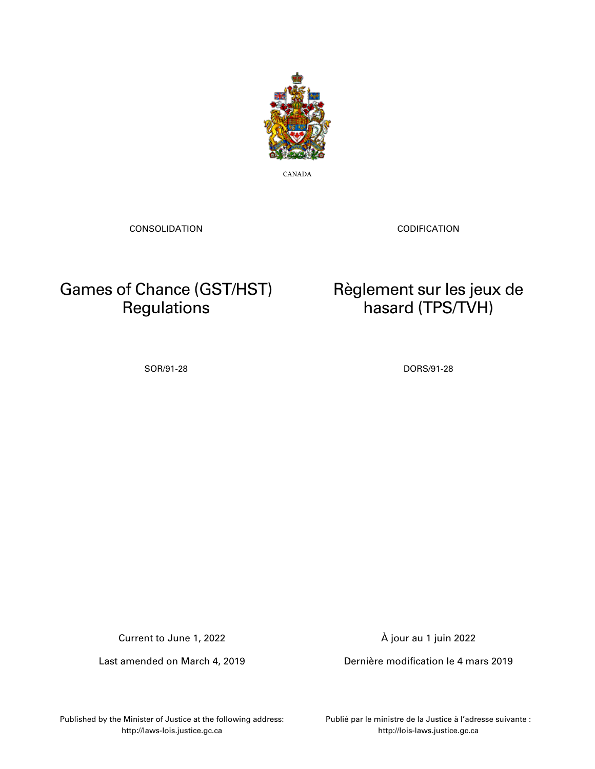

CANADA

CONSOLIDATION

CODIFICATION

Règlement sur les jeux de hasard (TPS/TVH)

# Games of Chance (GST/HST) **Regulations**

SOR/91-28 DORS/91-28

Current to June 1, 2022

Last amended on March 4, 2019

À jour au 1 juin 2022

Dernière modification le 4 mars 2019

Published by the Minister of Justice at the following address: http://laws-lois.justice.gc.ca

Publié par le ministre de la Justice à l'adresse suivante : http://lois-laws.justice.gc.ca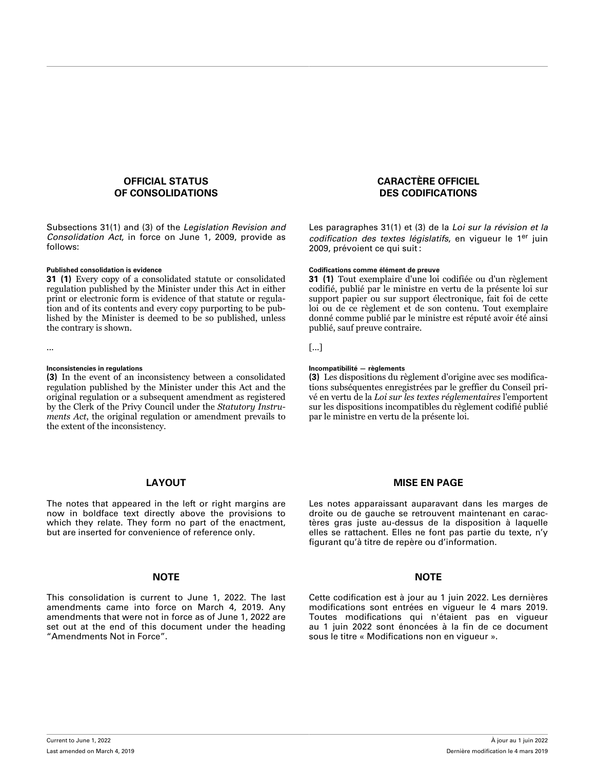### **OFFICIAL STATUS OF CONSOLIDATIONS**

Subsections 31(1) and (3) of the *Legislation Revision and Consolidation Act*, in force on June 1, 2009, provide as follows:

**31 (1)** Every copy of a consolidated statute or consolidated regulation published by the Minister under this Act in either print or electronic form is evidence of that statute or regulation and of its contents and every copy purporting to be published by the Minister is deemed to be so published, unless the contrary is shown.

**(3)** In the event of an inconsistency between a consolidated regulation published by the Minister under this Act and the original regulation or a subsequent amendment as registered by the Clerk of the Privy Council under the *Statutory Instruments Act*, the original regulation or amendment prevails to the extent of the inconsistency.

#### **LAYOUT**

The notes that appeared in the left or right margins are now in boldface text directly above the provisions to which they relate. They form no part of the enactment, but are inserted for convenience of reference only.

#### **NOTE NOTE**

This consolidation is current to June 1, 2022. The last amendments came into force on March 4, 2019. Any amendments that were not in force as of June 1, 2022 are set out at the end of this document under the heading "Amendments Not in Force".

### **CARACTÈRE OFFICIEL DES CODIFICATIONS**

Les paragraphes 31(1) et (3) de la *Loi sur la révision et la codification des textes législatifs*, en vigueur le 1er juin 2009, prévoient ce qui suit :

#### **Published consolidation is evidence Codifications comme élément de preuve**

**31 (1)** Tout exemplaire d'une loi codifiée ou d'un règlement codifié, publié par le ministre en vertu de la présente loi sur support papier ou sur support électronique, fait foi de cette loi ou de ce règlement et de son contenu. Tout exemplaire donné comme publié par le ministre est réputé avoir été ainsi publié, sauf preuve contraire.

... [...]

#### **Inconsistencies in regulations Incompatibilité — règlements**

**(3)** Les dispositions du règlement d'origine avec ses modifications subséquentes enregistrées par le greffier du Conseil privé en vertu de la *Loi sur les textes réglementaires* l'emportent sur les dispositions incompatibles du règlement codifié publié par le ministre en vertu de la présente loi.

#### **MISE EN PAGE**

Les notes apparaissant auparavant dans les marges de droite ou de gauche se retrouvent maintenant en caractères gras juste au-dessus de la disposition à laquelle elles se rattachent. Elles ne font pas partie du texte, n'y figurant qu'à titre de repère ou d'information.

Cette codification est à jour au 1 juin 2022. Les dernières modifications sont entrées en vigueur le 4 mars 2019. Toutes modifications qui n'étaient pas en vigueur au 1 juin 2022 sont énoncées à la fin de ce document sous le titre « Modifications non en vigueur ».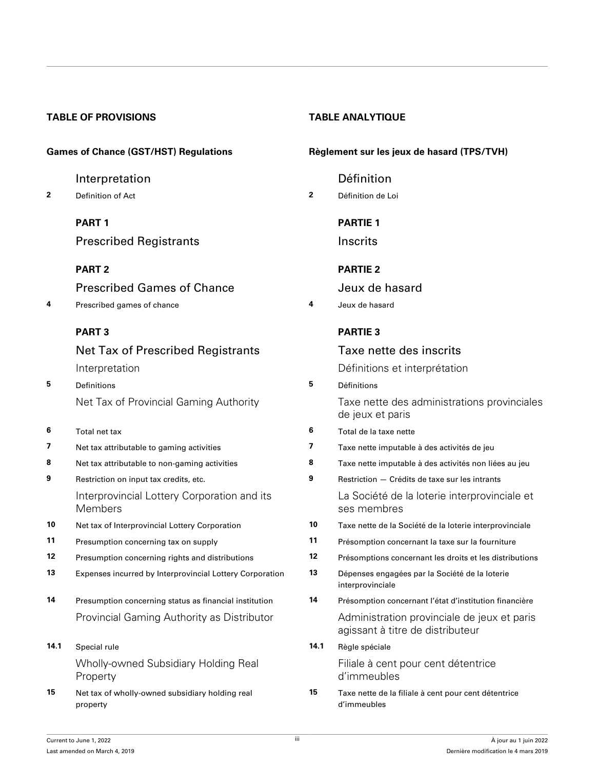## **TABLE OF PROVISIONS TABLE ANALYTIQUE**

[Interpretation](#page-5-0) **[Définition](#page-5-0)** 

**2** [Definition of Act](#page-5-0) **2** [Définition de Loi](#page-5-0)

**[PART 1](#page-5-0)**

Prescribed Registrants

## **[PART 2](#page-6-0)**

Prescribed Games of Chance

**4** [Prescribed games of chance](#page-6-0) **4** [Jeux de hasard](#page-6-0)

## **[PART 3](#page-6-0)**

Net Tax of Prescribed Registrants [Interpretation](#page-6-0)

- **5** [Definitions](#page-6-0) **5** [Définitions](#page-6-0) [Net Tax of Provincial Gaming Authority](#page-12-0)
- **6** [Total net tax](#page-12-0)
- **7** [Net tax attributable to gaming activities](#page-13-0)
- **8** [Net tax attributable to non-gaming activities](#page-24-0)
- **9** [Restriction on input tax credits, etc.](#page-26-0) [Interprovincial Lottery Corporation and its](#page-29-0) [Members](#page-29-0)
- **10** [Net tax of Interprovincial Lottery Corporation](#page-29-0)
- **11** [Presumption concerning tax on supply](#page-29-0)
- **12** [Presumption concerning rights and distributions](#page-30-0)
- **13** [Expenses incurred by Interprovincial Lottery Corporation](#page-31-0)
- 14 [Presumption concerning status as financial institution](#page-31-0) [Provincial Gaming Authority as Distributor](#page-32-0)
- **14.1** [Special rule](#page-32-0) [Wholly-owned Subsidiary Holding Real](#page-33-0) [Property](#page-33-0)
- **15** [Net tax of wholly-owned subsidiary holding real](#page-33-0) [property](#page-33-0)

## **Games of Chance (GST/HST) Regulations Règlement sur les jeux de hasard (TPS/TVH)**

## **[PARTIE 1](#page-5-0)**

**Inscrits** 

## **[PARTIE 2](#page-6-0)**

Jeux de hasard

## **[PARTIE 3](#page-6-0)**

|      | Taxe nette des inscrits                                                         |
|------|---------------------------------------------------------------------------------|
|      | Définitions et interprétation                                                   |
| 5    | Définitions                                                                     |
|      | Taxe nette des administrations provinciales<br>de jeux et paris                 |
| 6    | Total de la taxe nette                                                          |
| 7    | Taxe nette imputable à des activités de jeu                                     |
| 8    | Taxe nette imputable à des activités non liées au jeu                           |
| 9    | Restriction - Crédits de taxe sur les intrants                                  |
|      | La Société de la loterie interprovinciale et<br>ses membres                     |
| 10   | Taxe nette de la Société de la loterie interprovinciale                         |
| 11   | Présomption concernant la taxe sur la fourniture                                |
| 12   | Présomptions concernant les droits et les distributions                         |
| 13   | Dépenses engagées par la Société de la loterie<br>interprovinciale              |
| 14   | Présomption concernant l'état d'institution financière                          |
|      | Administration provinciale de jeux et paris<br>agissant à titre de distributeur |
| 14.1 | Règle spéciale                                                                  |
|      | Filiale à cent pour cent détentrice<br>d'immeubles                              |
| 15   | Taxe nette de la filiale à cent pour cent détentrice<br>d'immeubles             |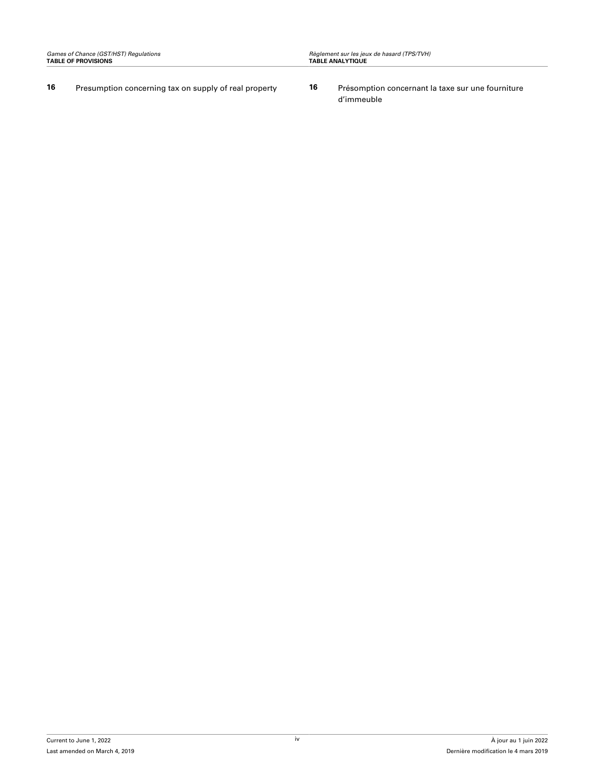- **16** [Presumption concerning tax on supply of real property](#page-33-0) **16** [Présomption concernant la taxe sur une fourniture](#page-33-0)
	- [d'immeuble](#page-33-0)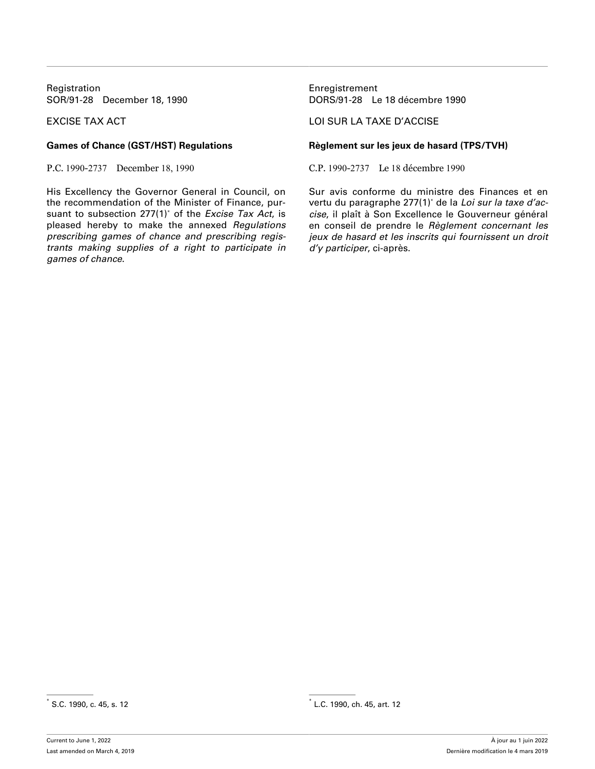Registration **Enregistrement** 

His Excellency the Governor General in Council, on the recommendation of the Minister of Finance, pursuant to subsection 277(1)\* of the *Excise Tax Act*, is pleased hereby to make the annexed *Regulations prescribing games of chance and prescribing registrants making supplies of a right to participate in games of chance*.

SOR/91-28 December 18, 1990 DORS/91-28 Le 18 décembre 1990

### EXCISE TAX ACT LOI SUR LA TAXE D'ACCISE

### **Games of Chance (GST/HST) Regulations Règlement sur les jeux de hasard (TPS/TVH)**

P.C. 1990-2737 December 18, 1990 C.P. 1990-2737 Le 18 décembre 1990

Sur avis conforme du ministre des Finances et en vertu du paragraphe 277(1)\* de la *Loi sur la taxe d'accise*, il plaît à Son Excellence le Gouverneur général en conseil de prendre le *Règlement concernant les jeux de hasard et les inscrits qui fournissent un droit d'y participer*, ci-après.

<sup>\*</sup> S.C. 1990, c. 45, s. 12 \*

 $^*$  L.C. 1990, ch. 45, art. 12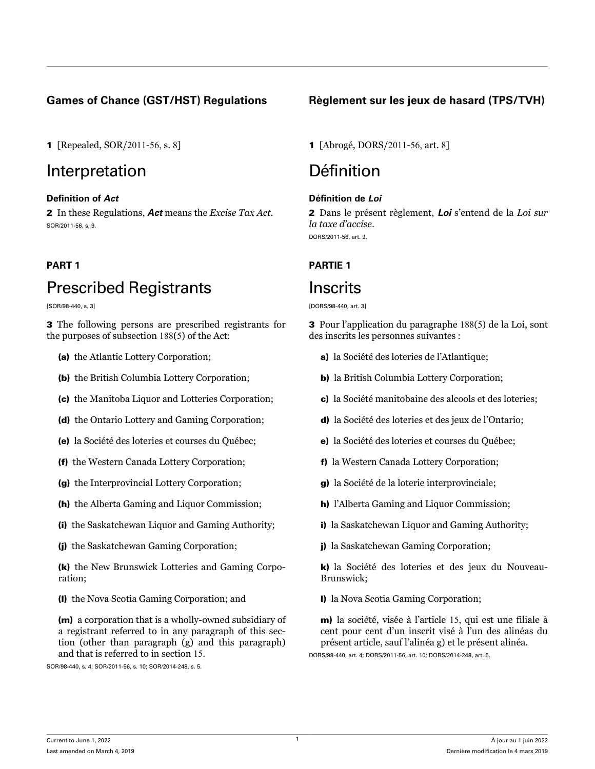# Interpretation Définition

## **Definition of** *Act* **Définition de** *Loi*

2 In these Regulations, *Act* means the *Excise Tax Act*. SOR/2011-56, s. 9.

# Prescribed Registrants

[SOR/98-440, s. 3]

3 The following persons are prescribed registrants for the purposes of subsection 188(5) of the Act:

- (a) the Atlantic Lottery Corporation;
- (b) the British Columbia Lottery Corporation;
- (c) the Manitoba Liquor and Lotteries Corporation;
- (d) the Ontario Lottery and Gaming Corporation;
- (e) la Société des loteries et courses du Québec;
- (f) the Western Canada Lottery Corporation;
- (g) the Interprovincial Lottery Corporation;
- (h) the Alberta Gaming and Liquor Commission;
- (i) the Saskatchewan Liquor and Gaming Authority;
- (j) the Saskatchewan Gaming Corporation;

(k) the New Brunswick Lotteries and Gaming Corporation;

(l) the Nova Scotia Gaming Corporation; and

(m) a corporation that is a wholly-owned subsidiary of a registrant referred to in any paragraph of this section (other than paragraph (g) and this paragraph) and that is referred to in section 15.

SOR/98-440, s. 4; SOR/2011-56, s. 10; SOR/2014-248, s. 5.

## <span id="page-5-0"></span>**Games of Chance (GST/HST) Regulations Règlement sur les jeux de hasard (TPS/TVH)**

1 [Repealed, SOR/2011-56, s. 8] 1 [Abrogé, DORS/2011-56, art. 8]

2 Dans le présent règlement, *Loi* s'entend de la *Loi sur la taxe d'accise*. DORS/2011-56, art. 9.

## **PART 1 PARTIE 1**

# Inscrits

[DORS/98-440, art. 3]

3 Pour l'application du paragraphe 188(5) de la Loi, sont des inscrits les personnes suivantes :

- a) la Société des loteries de l'Atlantique;
- b) la British Columbia Lottery Corporation;
- c) la Société manitobaine des alcools et des loteries;
- d) la Société des loteries et des jeux de l'Ontario;
- e) la Société des loteries et courses du Québec;
- f) la Western Canada Lottery Corporation;
- g) la Société de la loterie interprovinciale;
- h) l'Alberta Gaming and Liquor Commission;
- i) la Saskatchewan Liquor and Gaming Authority;
- j) la Saskatchewan Gaming Corporation;

k) la Société des loteries et des jeux du Nouveau-Brunswick;

l) la Nova Scotia Gaming Corporation;

m) la société, visée à l'article 15, qui est une filiale à cent pour cent d'un inscrit visé à l'un des alinéas du présent article, sauf l'alinéa g) et le présent alinéa. DORS/98-440, art. 4; DORS/2011-56, art. 10; DORS/2014-248, art. 5.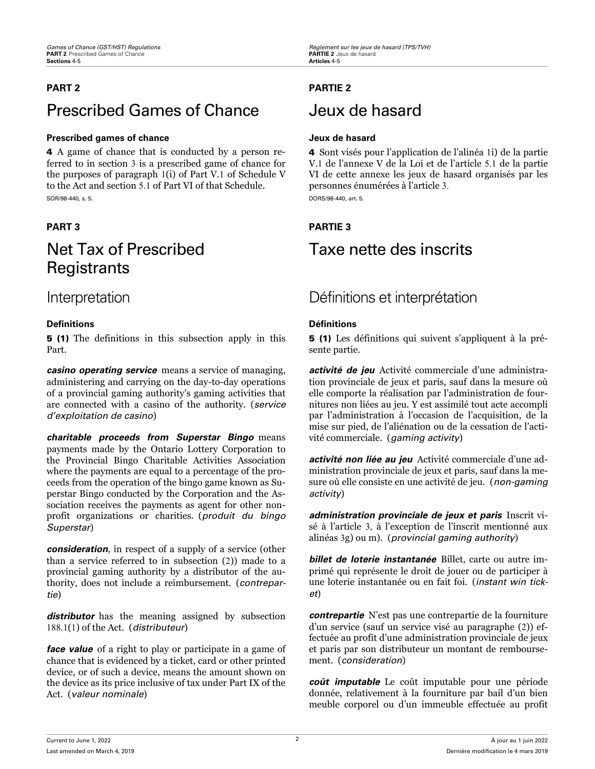# Prescribed Games of Chance Jeux de hasard

### **Prescribed games of chance Jeux de hasard**

4 A game of chance that is conducted by a person referred to in section 3 is a prescribed game of chance for the purposes of paragraph 1(i) of Part V.1 of Schedule V to the Act and section 5.1 of Part VI of that Schedule. SOR/98-440, s. 5.

# Net Tax of Prescribed **Registrants**

### **Definitions Définitions**

5 (1) The definitions in this subsection apply in this Part.

*casino operating service* means a service of managing, administering and carrying on the day-to-day operations of a provincial gaming authority's gaming activities that are connected with a casino of the authority. (*service d'exploitation de casino*)

*charitable proceeds from Superstar Bingo* means payments made by the Ontario Lottery Corporation to the Provincial Bingo Charitable Activities Association where the payments are equal to a percentage of the proceeds from the operation of the bingo game known as Superstar Bingo conducted by the Corporation and the Association receives the payments as agent for other nonprofit organizations or charities. (*produit du bingo Superstar*)

*consideration*, in respect of a supply of a service (other than a service referred to in subsection (2)) made to a provincial gaming authority by a distributor of the authority, does not include a reimbursement. (*contrepartie*)

*distributor* has the meaning assigned by subsection 188.1(1) of the Act. (*distributeur*)

*face value* of a right to play or participate in a game of chance that is evidenced by a ticket, card or other printed device, or of such a device, means the amount shown on the device as its price inclusive of tax under Part IX of the Act. (*valeur nominale*)

## <span id="page-6-0"></span>**PART 2 PARTIE 2**

4 Sont visés pour l'application de l'alinéa 1i) de la partie V.1 de l'annexe V de la Loi et de l'article 5.1 de la partie VI de cette annexe les jeux de hasard organisés par les personnes énumérées à l'article 3. DORS/98-440, art. 5.

## **PART 3 PARTIE 3**

# Taxe nette des inscrits

# Interpretation Définitions et interprétation

5 (1) Les définitions qui suivent s'appliquent à la présente partie.

*activité de jeu* Activité commerciale d'une administration provinciale de jeux et paris, sauf dans la mesure où elle comporte la réalisation par l'administration de fournitures non liées au jeu. Y est assimilé tout acte accompli par l'administration à l'occasion de l'acquisition, de la mise sur pied, de l'aliénation ou de la cessation de l'activité commerciale. (*gaming activity*)

*activité non liée au jeu* Activité commerciale d'une administration provinciale de jeux et paris, sauf dans la mesure où elle consiste en une activité de jeu. (*non-gaming activity*)

*administration provinciale de jeux et paris* Inscrit visé à l'article 3, à l'exception de l'inscrit mentionné aux alinéas 3g) ou m). (*provincial gaming authority*)

*billet de loterie instantanée* Billet, carte ou autre imprimé qui représente le droit de jouer ou de participer à une loterie instantanée ou en fait foi. (*instant win ticket*)

*contrepartie* N'est pas une contrepartie de la fourniture d'un service (sauf un service visé au paragraphe (2)) effectuée au profit d'une administration provinciale de jeux et paris par son distributeur un montant de remboursement. (*consideration*)

*coût imputable* Le coût imputable pour une période donnée, relativement à la fourniture par bail d'un bien meuble corporel ou d'un immeuble effectuée au profit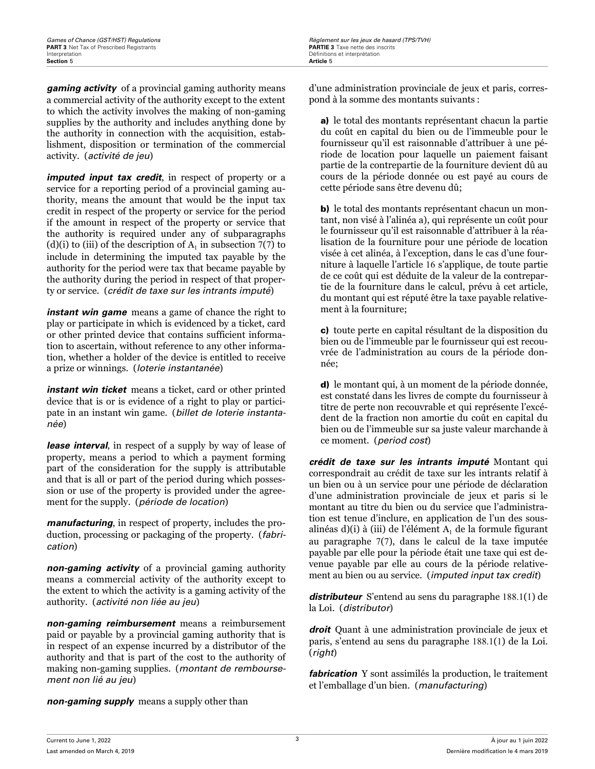*gaming activity* of a provincial gaming authority means a commercial activity of the authority except to the extent to which the activity involves the making of non-gaming supplies by the authority and includes anything done by the authority in connection with the acquisition, establishment, disposition or termination of the commercial activity. (*activité de jeu*)

*imputed input tax credit*, in respect of property or a service for a reporting period of a provincial gaming authority, means the amount that would be the input tax credit in respect of the property or service for the period if the amount in respect of the property or service that the authority is required under any of subparagraphs (d)(i) to (iii) of the description of  $A<sub>1</sub>$  in subsection 7(7) to include in determining the imputed tax payable by the authority for the period were tax that became payable by the authority during the period in respect of that property or service. (*crédit de taxe sur les intrants imputé*)

*instant win game* means a game of chance the right to play or participate in which is evidenced by a ticket, card or other printed device that contains sufficient information to ascertain, without reference to any other information, whether a holder of the device is entitled to receive a prize or winnings. (*loterie instantanée*)

*instant win ticket* means a ticket, card or other printed device that is or is evidence of a right to play or participate in an instant win game. (*billet de loterie instantanée*)

*lease interval*, in respect of a supply by way of lease of property, means a period to which a payment forming part of the consideration for the supply is attributable and that is all or part of the period during which possession or use of the property is provided under the agreement for the supply. (*période de location*)

*manufacturing*, in respect of property, includes the production, processing or packaging of the property. (*fabrication*)

*non-gaming activity* of a provincial gaming authority means a commercial activity of the authority except to the extent to which the activity is a gaming activity of the authority. (*activité non liée au jeu*)

*non-gaming reimbursement* means a reimbursement paid or payable by a provincial gaming authority that is in respect of an expense incurred by a distributor of the authority and that is part of the cost to the authority of making non-gaming supplies. (*montant de remboursement non lié au jeu*)

*non-gaming supply* means a supply other than

d'une administration provinciale de jeux et paris, correspond à la somme des montants suivants :

a) le total des montants représentant chacun la partie du coût en capital du bien ou de l'immeuble pour le fournisseur qu'il est raisonnable d'attribuer à une période de location pour laquelle un paiement faisant partie de la contrepartie de la fourniture devient dû au cours de la période donnée ou est payé au cours de cette période sans être devenu dû;

b) le total des montants représentant chacun un montant, non visé à l'alinéa a), qui représente un coût pour le fournisseur qu'il est raisonnable d'attribuer à la réalisation de la fourniture pour une période de location visée à cet alinéa, à l'exception, dans le cas d'une fourniture à laquelle l'article 16 s'applique, de toute partie de ce coût qui est déduite de la valeur de la contrepartie de la fourniture dans le calcul, prévu à cet article, du montant qui est réputé être la taxe payable relativement à la fourniture;

c) toute perte en capital résultant de la disposition du bien ou de l'immeuble par le fournisseur qui est recouvrée de l'administration au cours de la période donnée;

d) le montant qui, à un moment de la période donnée, est constaté dans les livres de compte du fournisseur à titre de perte non recouvrable et qui représente l'excédent de la fraction non amortie du coût en capital du bien ou de l'immeuble sur sa juste valeur marchande à ce moment. (*period cost*)

*crédit de taxe sur les intrants imputé* Montant qui correspondrait au crédit de taxe sur les intrants relatif à un bien ou à un service pour une période de déclaration d'une administration provinciale de jeux et paris si le montant au titre du bien ou du service que l'administration est tenue d'inclure, en application de l'un des sousalinéas d)(i) à (iii) de l'élément  $\rm A_{1}$  de la formule figurant au paragraphe 7(7), dans le calcul de la taxe imputée payable par elle pour la période était une taxe qui est devenue payable par elle au cours de la période relativement au bien ou au service. (*imputed input tax credit*)

*distributeur* S'entend au sens du paragraphe 188.1(1) de la Loi. (*distributor*)

*droit* Quant à une administration provinciale de jeux et paris, s'entend au sens du paragraphe 188.1(1) de la Loi. (*right*)

*fabrication* Y sont assimilés la production, le traitement et l'emballage d'un bien. (*manufacturing*)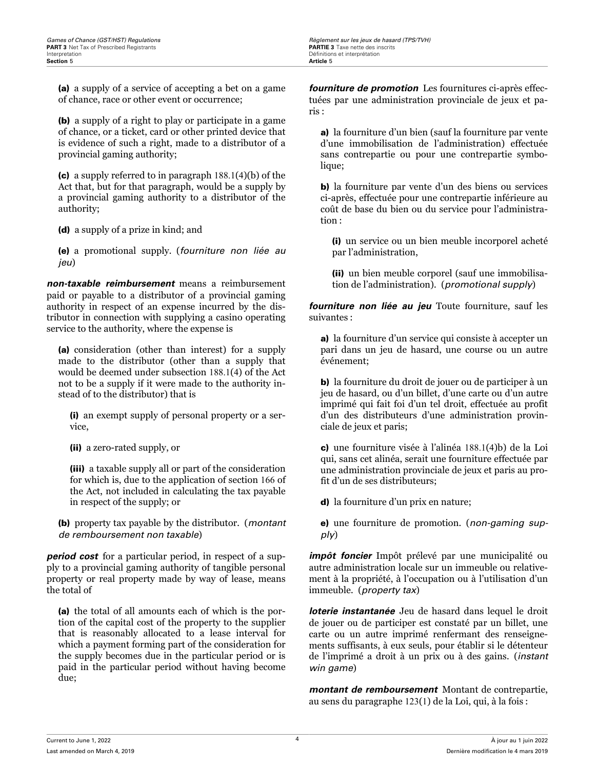(a) a supply of a service of accepting a bet on a game of chance, race or other event or occurrence;

(b) a supply of a right to play or participate in a game of chance, or a ticket, card or other printed device that is evidence of such a right, made to a distributor of a provincial gaming authority;

(c) a supply referred to in paragraph 188.1(4)(b) of the Act that, but for that paragraph, would be a supply by a provincial gaming authority to a distributor of the authority;

(d) a supply of a prize in kind; and

(e) a promotional supply. (*fourniture non liée au jeu*)

*non-taxable reimbursement* means a reimbursement paid or payable to a distributor of a provincial gaming authority in respect of an expense incurred by the distributor in connection with supplying a casino operating service to the authority, where the expense is

(a) consideration (other than interest) for a supply made to the distributor (other than a supply that would be deemed under subsection 188.1(4) of the Act not to be a supply if it were made to the authority instead of to the distributor) that is

(i) an exempt supply of personal property or a service,

(ii) a zero-rated supply, or

(iii) a taxable supply all or part of the consideration for which is, due to the application of section 166 of the Act, not included in calculating the tax payable in respect of the supply; or

(b) property tax payable by the distributor. (*montant de remboursement non taxable*)

*period cost* for a particular period, in respect of a supply to a provincial gaming authority of tangible personal property or real property made by way of lease, means the total of

(a) the total of all amounts each of which is the portion of the capital cost of the property to the supplier that is reasonably allocated to a lease interval for which a payment forming part of the consideration for the supply becomes due in the particular period or is paid in the particular period without having become due;

*fourniture de promotion* Les fournitures ci-après effectuées par une administration provinciale de jeux et paris :

a) la fourniture d'un bien (sauf la fourniture par vente d'une immobilisation de l'administration) effectuée sans contrepartie ou pour une contrepartie symbolique;

b) la fourniture par vente d'un des biens ou services ci-après, effectuée pour une contrepartie inférieure au coût de base du bien ou du service pour l'administration :

(i) un service ou un bien meuble incorporel acheté par l'administration,

(ii) un bien meuble corporel (sauf une immobilisation de l'administration). (*promotional supply*)

*fourniture non liée au jeu* Toute fourniture, sauf les suivantes :

a) la fourniture d'un service qui consiste à accepter un pari dans un jeu de hasard, une course ou un autre événement;

b) la fourniture du droit de jouer ou de participer à un jeu de hasard, ou d'un billet, d'une carte ou d'un autre imprimé qui fait foi d'un tel droit, effectuée au profit d'un des distributeurs d'une administration provinciale de jeux et paris;

c) une fourniture visée à l'alinéa 188.1(4)b) de la Loi qui, sans cet alinéa, serait une fourniture effectuée par une administration provinciale de jeux et paris au profit d'un de ses distributeurs;

d) la fourniture d'un prix en nature;

e) une fourniture de promotion. (*non-gaming supply*)

*impôt foncier* Impôt prélevé par une municipalité ou autre administration locale sur un immeuble ou relativement à la propriété, à l'occupation ou à l'utilisation d'un immeuble. (*property tax*)

*loterie instantanée* Jeu de hasard dans lequel le droit de jouer ou de participer est constaté par un billet, une carte ou un autre imprimé renfermant des renseignements suffisants, à eux seuls, pour établir si le détenteur de l'imprimé a droit à un prix ou à des gains. (*instant win game*)

*montant de remboursement* Montant de contrepartie, au sens du paragraphe 123(1) de la Loi, qui, à la fois :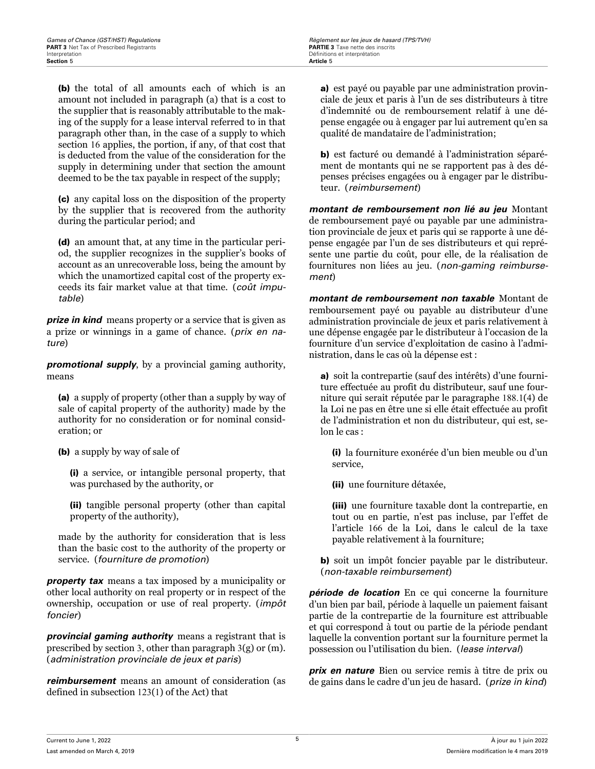(b) the total of all amounts each of which is an amount not included in paragraph (a) that is a cost to the supplier that is reasonably attributable to the making of the supply for a lease interval referred to in that paragraph other than, in the case of a supply to which section 16 applies, the portion, if any, of that cost that is deducted from the value of the consideration for the supply in determining under that section the amount deemed to be the tax payable in respect of the supply;

(c) any capital loss on the disposition of the property by the supplier that is recovered from the authority during the particular period; and

(d) an amount that, at any time in the particular period, the supplier recognizes in the supplier's books of account as an unrecoverable loss, being the amount by which the unamortized capital cost of the property exceeds its fair market value at that time. (*coût imputable*)

*prize in kind* means property or a service that is given as a prize or winnings in a game of chance. (*prix en nature*)

*promotional supply*, by a provincial gaming authority, means

(a) a supply of property (other than a supply by way of sale of capital property of the authority) made by the authority for no consideration or for nominal consideration; or

(b) a supply by way of sale of

(i) a service, or intangible personal property, that was purchased by the authority, or

(ii) tangible personal property (other than capital property of the authority),

made by the authority for consideration that is less than the basic cost to the authority of the property or service. (*fourniture de promotion*)

*property tax* means a tax imposed by a municipality or other local authority on real property or in respect of the ownership, occupation or use of real property. (*impôt foncier*)

*provincial gaming authority* means a registrant that is prescribed by section 3, other than paragraph 3(g) or (m). (*administration provinciale de jeux et paris*)

*reimbursement* means an amount of consideration (as defined in subsection 123(1) of the Act) that

a) est payé ou payable par une administration provinciale de jeux et paris à l'un de ses distributeurs à titre d'indemnité ou de remboursement relatif à une dépense engagée ou à engager par lui autrement qu'en sa qualité de mandataire de l'administration;

b) est facturé ou demandé à l'administration séparément de montants qui ne se rapportent pas à des dépenses précises engagées ou à engager par le distributeur. (*reimbursement*)

*montant de remboursement non lié au jeu* Montant de remboursement payé ou payable par une administration provinciale de jeux et paris qui se rapporte à une dépense engagée par l'un de ses distributeurs et qui représente une partie du coût, pour elle, de la réalisation de fournitures non liées au jeu. (*non-gaming reimbursement*)

*montant de remboursement non taxable* Montant de remboursement payé ou payable au distributeur d'une administration provinciale de jeux et paris relativement à une dépense engagée par le distributeur à l'occasion de la fourniture d'un service d'exploitation de casino à l'administration, dans le cas où la dépense est :

a) soit la contrepartie (sauf des intérêts) d'une fourniture effectuée au profit du distributeur, sauf une fourniture qui serait réputée par le paragraphe 188.1(4) de la Loi ne pas en être une si elle était effectuée au profit de l'administration et non du distributeur, qui est, selon le cas :

(i) la fourniture exonérée d'un bien meuble ou d'un service,

(ii) une fourniture détaxée,

(iii) une fourniture taxable dont la contrepartie, en tout ou en partie, n'est pas incluse, par l'effet de l'article 166 de la Loi, dans le calcul de la taxe payable relativement à la fourniture;

b) soit un impôt foncier payable par le distributeur. (*non-taxable reimbursement*)

*période de location* En ce qui concerne la fourniture d'un bien par bail, période à laquelle un paiement faisant partie de la contrepartie de la fourniture est attribuable et qui correspond à tout ou partie de la période pendant laquelle la convention portant sur la fourniture permet la possession ou l'utilisation du bien. (*lease interval*)

*prix en nature* Bien ou service remis à titre de prix ou de gains dans le cadre d'un jeu de hasard. (*prize in kind*)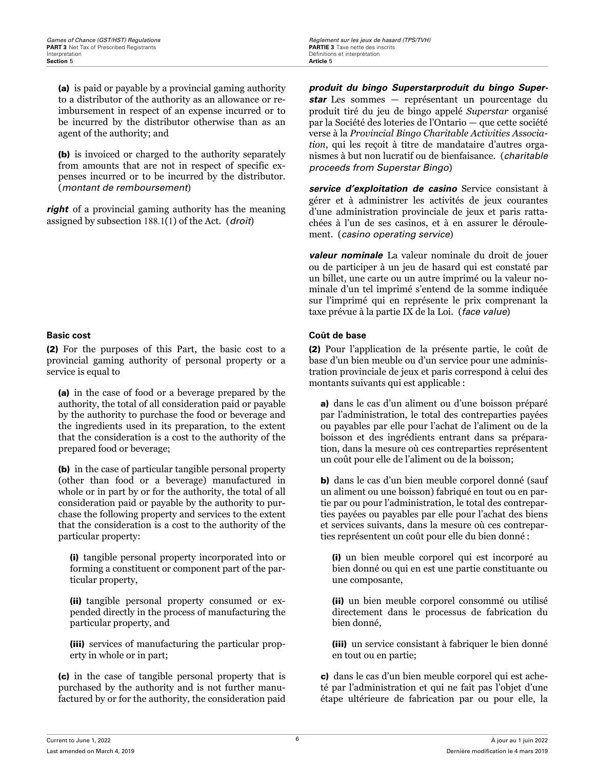(a) is paid or payable by a provincial gaming authority to a distributor of the authority as an allowance or reimbursement in respect of an expense incurred or to be incurred by the distributor otherwise than as an agent of the authority; and

(b) is invoiced or charged to the authority separately from amounts that are not in respect of specific expenses incurred or to be incurred by the distributor. (*montant de remboursement*)

*right* of a provincial gaming authority has the meaning assigned by subsection 188.1(1) of the Act. (*droit*)

(2) For the purposes of this Part, the basic cost to a provincial gaming authority of personal property or a service is equal to

(a) in the case of food or a beverage prepared by the authority, the total of all consideration paid or payable by the authority to purchase the food or beverage and the ingredients used in its preparation, to the extent that the consideration is a cost to the authority of the prepared food or beverage;

(b) in the case of particular tangible personal property (other than food or a beverage) manufactured in whole or in part by or for the authority, the total of all consideration paid or payable by the authority to purchase the following property and services to the extent that the consideration is a cost to the authority of the particular property:

(i) tangible personal property incorporated into or forming a constituent or component part of the particular property,

(ii) tangible personal property consumed or expended directly in the process of manufacturing the particular property, and

(iii) services of manufacturing the particular property in whole or in part;

(c) in the case of tangible personal property that is purchased by the authority and is not further manufactured by or for the authority, the consideration paid *produit du bingo Superstarproduit du bingo Superstar* Les sommes — représentant un pourcentage du produit tiré du jeu de bingo appelé *Superstar* organisé par la Société des loteries de l'Ontario — que cette société verse à la *Provincial Bingo Charitable Activities Association*, qui les reçoit à titre de mandataire d'autres organismes à but non lucratif ou de bienfaisance. (*charitable proceeds from Superstar Bingo*)

*service d'exploitation de casino* Service consistant à gérer et à administrer les activités de jeux courantes d'une administration provinciale de jeux et paris rattachées à l'un de ses casinos, et à en assurer le déroulement. (*casino operating service*)

*valeur nominale* La valeur nominale du droit de jouer ou de participer à un jeu de hasard qui est constaté par un billet, une carte ou un autre imprimé ou la valeur nominale d'un tel imprimé s'entend de la somme indiquée sur l'imprimé qui en représente le prix comprenant la taxe prévue à la partie IX de la Loi. (*face value*)

### **Basic cost Coût de base**

(2) Pour l'application de la présente partie, le coût de base d'un bien meuble ou d'un service pour une administration provinciale de jeux et paris correspond à celui des montants suivants qui est applicable :

a) dans le cas d'un aliment ou d'une boisson préparé par l'administration, le total des contreparties payées ou payables par elle pour l'achat de l'aliment ou de la boisson et des ingrédients entrant dans sa préparation, dans la mesure où ces contreparties représentent un coût pour elle de l'aliment ou de la boisson;

b) dans le cas d'un bien meuble corporel donné (sauf un aliment ou une boisson) fabriqué en tout ou en partie par ou pour l'administration, le total des contreparties payées ou payables par elle pour l'achat des biens et services suivants, dans la mesure où ces contreparties représentent un coût pour elle du bien donné :

(i) un bien meuble corporel qui est incorporé au bien donné ou qui en est une partie constituante ou une composante,

(ii) un bien meuble corporel consommé ou utilisé directement dans le processus de fabrication du bien donné,

(iii) un service consistant à fabriquer le bien donné en tout ou en partie;

c) dans le cas d'un bien meuble corporel qui est acheté par l'administration et qui ne fait pas l'objet d'une étape ultérieure de fabrication par ou pour elle, la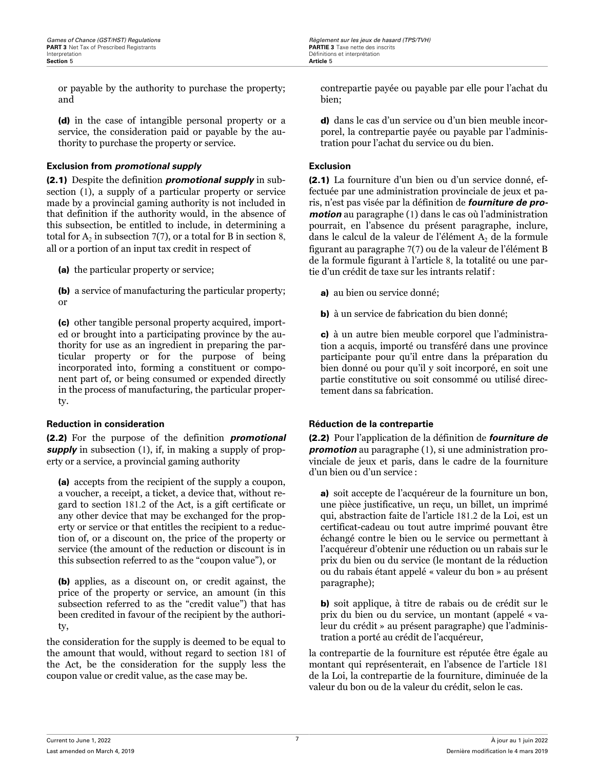or payable by the authority to purchase the property; and

(d) in the case of intangible personal property or a service, the consideration paid or payable by the authority to purchase the property or service.

### **Exclusion from** *promotional supply* **Exclusion**

(2.1) Despite the definition *promotional supply* in subsection (1), a supply of a particular property or service made by a provincial gaming authority is not included in that definition if the authority would, in the absence of this subsection, be entitled to include, in determining a total for  $A_2$  in subsection 7(7), or a total for B in section 8, all or a portion of an input tax credit in respect of

(a) the particular property or service;

(b) a service of manufacturing the particular property; or

(c) other tangible personal property acquired, imported or brought into a participating province by the authority for use as an ingredient in preparing the particular property or for the purpose of being incorporated into, forming a constituent or component part of, or being consumed or expended directly in the process of manufacturing, the particular property.

(2.2) For the purpose of the definition *promotional supply* in subsection (1), if, in making a supply of property or a service, a provincial gaming authority

(a) accepts from the recipient of the supply a coupon, a voucher, a receipt, a ticket, a device that, without regard to section 181.2 of the Act, is a gift certificate or any other device that may be exchanged for the property or service or that entitles the recipient to a reduction of, or a discount on, the price of the property or service (the amount of the reduction or discount is in this subsection referred to as the "coupon value"), or

(b) applies, as a discount on, or credit against, the price of the property or service, an amount (in this subsection referred to as the "credit value") that has been credited in favour of the recipient by the authority,

the consideration for the supply is deemed to be equal to the amount that would, without regard to section 181 of the Act, be the consideration for the supply less the coupon value or credit value, as the case may be.

contrepartie payée ou payable par elle pour l'achat du bien;

d) dans le cas d'un service ou d'un bien meuble incorporel, la contrepartie payée ou payable par l'administration pour l'achat du service ou du bien.

(2.1) La fourniture d'un bien ou d'un service donné, effectuée par une administration provinciale de jeux et paris, n'est pas visée par la définition de *fourniture de promotion* au paragraphe (1) dans le cas où l'administration pourrait, en l'absence du présent paragraphe, inclure, dans le calcul de la valeur de l'élément  $\mathrm{A}_2$  de la formule figurant au paragraphe 7(7) ou de la valeur de l'élément B de la formule figurant à l'article 8, la totalité ou une partie d'un crédit de taxe sur les intrants relatif :

a) au bien ou service donné;

b) à un service de fabrication du bien donné;

c) à un autre bien meuble corporel que l'administration a acquis, importé ou transféré dans une province participante pour qu'il entre dans la préparation du bien donné ou pour qu'il y soit incorporé, en soit une partie constitutive ou soit consommé ou utilisé directement dans sa fabrication.

### **Reduction in consideration Réduction de la contrepartie**

(2.2) Pour l'application de la définition de *fourniture de promotion* au paragraphe (1), si une administration provinciale de jeux et paris, dans le cadre de la fourniture d'un bien ou d'un service :

a) soit accepte de l'acquéreur de la fourniture un bon, une pièce justificative, un reçu, un billet, un imprimé qui, abstraction faite de l'article 181.2 de la Loi, est un certificat-cadeau ou tout autre imprimé pouvant être échangé contre le bien ou le service ou permettant à l'acquéreur d'obtenir une réduction ou un rabais sur le prix du bien ou du service (le montant de la réduction ou du rabais étant appelé « valeur du bon » au présent paragraphe);

b) soit applique, à titre de rabais ou de crédit sur le prix du bien ou du service, un montant (appelé « valeur du crédit » au présent paragraphe) que l'administration a porté au crédit de l'acquéreur,

la contrepartie de la fourniture est réputée être égale au montant qui représenterait, en l'absence de l'article 181 de la Loi, la contrepartie de la fourniture, diminuée de la valeur du bon ou de la valeur du crédit, selon le cas.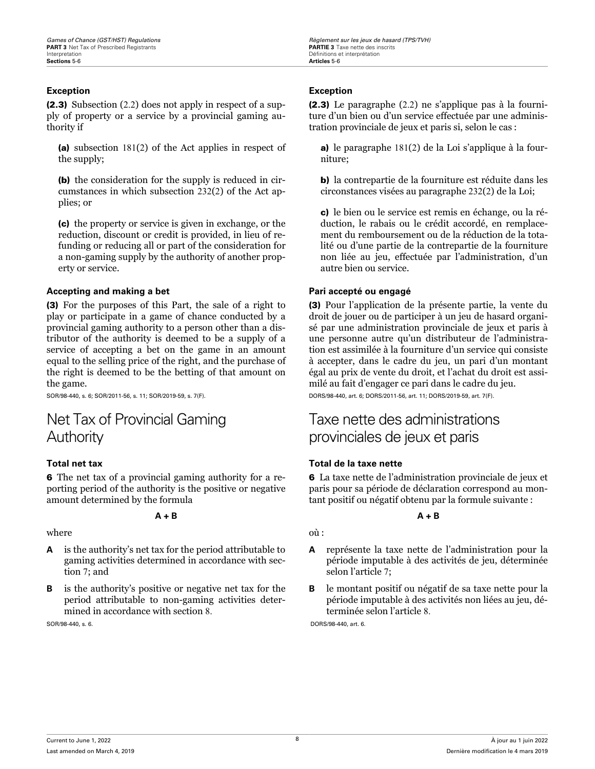### <span id="page-12-0"></span>**Exception Exception**

(2.3) Subsection (2.2) does not apply in respect of a supply of property or a service by a provincial gaming authority if

(a) subsection 181(2) of the Act applies in respect of the supply;

(b) the consideration for the supply is reduced in circumstances in which subsection 232(2) of the Act applies; or

(c) the property or service is given in exchange, or the reduction, discount or credit is provided, in lieu of refunding or reducing all or part of the consideration for a non-gaming supply by the authority of another property or service.

#### **Accepting and making a bet Pari accepté ou engagé**

(3) For the purposes of this Part, the sale of a right to play or participate in a game of chance conducted by a provincial gaming authority to a person other than a distributor of the authority is deemed to be a supply of a service of accepting a bet on the game in an amount equal to the selling price of the right, and the purchase of the right is deemed to be the betting of that amount on the game.

SOR/98-440, s. 6; SOR/2011-56, s. 11; SOR/2019-59, s. 7(F).

# Net Tax of Provincial Gaming Authority

6 The net tax of a provincial gaming authority for a reporting period of the authority is the positive or negative amount determined by the formula

#### **A + B**

where

- **A** is the authority's net tax for the period attributable to gaming activities determined in accordance with section 7; and
- **B** is the authority's positive or negative net tax for the period attributable to non-gaming activities determined in accordance with section 8.

SOR/98-440, s. 6.

(2.3) Le paragraphe (2.2) ne s'applique pas à la fourniture d'un bien ou d'un service effectuée par une administration provinciale de jeux et paris si, selon le cas :

a) le paragraphe 181(2) de la Loi s'applique à la fourniture;

b) la contrepartie de la fourniture est réduite dans les circonstances visées au paragraphe 232(2) de la Loi;

c) le bien ou le service est remis en échange, ou la réduction, le rabais ou le crédit accordé, en remplacement du remboursement ou de la réduction de la totalité ou d'une partie de la contrepartie de la fourniture non liée au jeu, effectuée par l'administration, d'un autre bien ou service.

(3) Pour l'application de la présente partie, la vente du droit de jouer ou de participer à un jeu de hasard organisé par une administration provinciale de jeux et paris à une personne autre qu'un distributeur de l'administration est assimilée à la fourniture d'un service qui consiste à accepter, dans le cadre du jeu, un pari d'un montant égal au prix de vente du droit, et l'achat du droit est assimilé au fait d'engager ce pari dans le cadre du jeu. DORS/98-440, art. 6; DORS/2011-56, art. 11; DORS/2019-59, art. 7(F).

## Taxe nette des administrations provinciales de jeux et paris

### **Total net tax Total de la taxe nette**

6 La taxe nette de l'administration provinciale de jeux et paris pour sa période de déclaration correspond au montant positif ou négatif obtenu par la formule suivante :

### **A + B**

- où :
- **A** représente la taxe nette de l'administration pour la période imputable à des activités de jeu, déterminée selon l'article 7;
- **B** le montant positif ou négatif de sa taxe nette pour la période imputable à des activités non liées au jeu, déterminée selon l'article 8.

DORS/98-440, art. 6.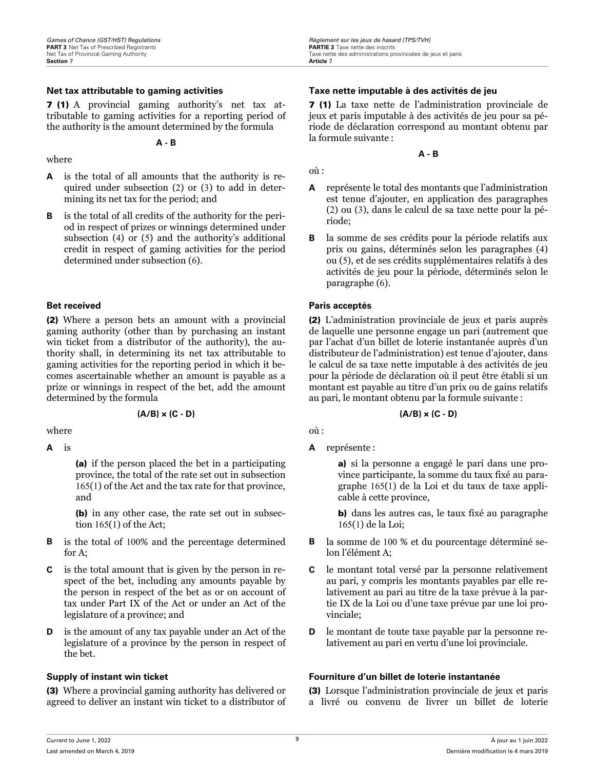7 (1) A provincial gaming authority's net tax attributable to gaming activities for a reporting period of the authority is the amount determined by the formula

**A - B**

#### where

- **A** is the total of all amounts that the authority is required under subsection (2) or (3) to add in determining its net tax for the period; and
- **B** is the total of all credits of the authority for the period in respect of prizes or winnings determined under subsection (4) or (5) and the authority's additional credit in respect of gaming activities for the period determined under subsection (6).

(2) Where a person bets an amount with a provincial gaming authority (other than by purchasing an instant win ticket from a distributor of the authority), the authority shall, in determining its net tax attributable to gaming activities for the reporting period in which it becomes ascertainable whether an amount is payable as a prize or winnings in respect of the bet, add the amount determined by the formula

#### **(A/B) × (C - D)**

where

**A** is

(a) if the person placed the bet in a participating province, the total of the rate set out in subsection 165(1) of the Act and the tax rate for that province, and

(b) in any other case, the rate set out in subsection 165(1) of the Act;

- **B** is the total of 100% and the percentage determined for A;
- **C** is the total amount that is given by the person in respect of the bet, including any amounts payable by the person in respect of the bet as or on account of tax under Part IX of the Act or under an Act of the legislature of a province; and
- **D** is the amount of any tax payable under an Act of the legislature of a province by the person in respect of the bet.

(3) Where a provincial gaming authority has delivered or agreed to deliver an instant win ticket to a distributor of

#### <span id="page-13-0"></span>**Net tax attributable to gaming activities Taxe nette imputable à des activités de jeu**

7 (1) La taxe nette de l'administration provinciale de jeux et paris imputable à des activités de jeu pour sa période de déclaration correspond au montant obtenu par la formule suivante :

**A - B**

où :

- **A** représente le total des montants que l'administration est tenue d'ajouter, en application des paragraphes (2) ou (3), dans le calcul de sa taxe nette pour la période;
- **B** la somme de ses crédits pour la période relatifs aux prix ou gains, déterminés selon les paragraphes (4) ou (5), et de ses crédits supplémentaires relatifs à des activités de jeu pour la période, déterminés selon le paragraphe (6).

#### **Bet received Paris acceptés**

(2) L'administration provinciale de jeux et paris auprès de laquelle une personne engage un pari (autrement que par l'achat d'un billet de loterie instantanée auprès d'un distributeur de l'administration) est tenue d'ajouter, dans le calcul de sa taxe nette imputable à des activités de jeu pour la période de déclaration où il peut être établi si un montant est payable au titre d'un prix ou de gains relatifs au pari, le montant obtenu par la formule suivante :

#### **(A/B) × (C - D)**

où :

**A** représente :

a) si la personne a engagé le pari dans une province participante, la somme du taux fixé au paragraphe 165(1) de la Loi et du taux de taxe applicable à cette province,

b) dans les autres cas, le taux fixé au paragraphe 165(1) de la Loi;

- **B** la somme de 100 % et du pourcentage déterminé selon l'élément A;
- **C** le montant total versé par la personne relativement au pari, y compris les montants payables par elle relativement au pari au titre de la taxe prévue à la partie IX de la Loi ou d'une taxe prévue par une loi provinciale;
- **D** le montant de toute taxe payable par la personne relativement au pari en vertu d'une loi provinciale.

### **Supply of instant win ticket Fourniture d'un billet de loterie instantanée**

(3) Lorsque l'administration provinciale de jeux et paris a livré ou convenu de livrer un billet de loterie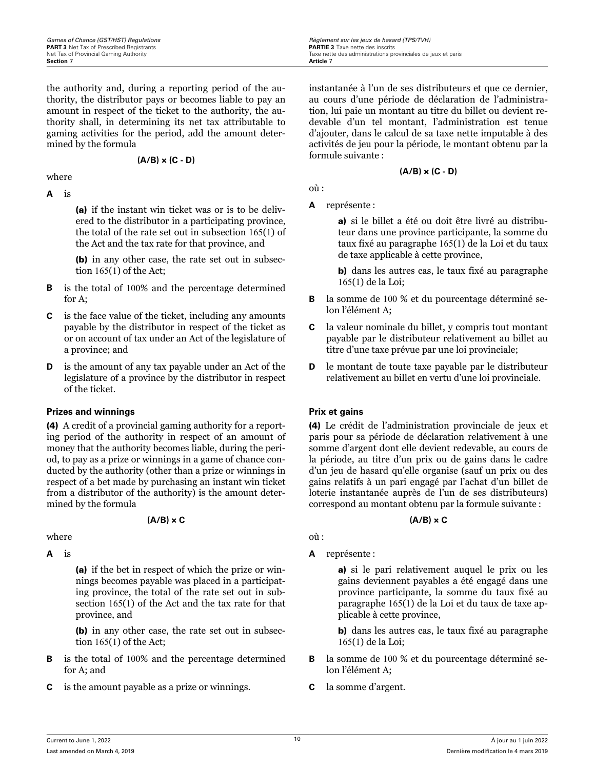**Games of Chance (GST/HST) Regulations** *R***egulations Regulations Regularity Regularity Regularity Regularity Regularity Regularity Regularity PARTIF 3 Taxe nette des inscrits <b>PARTIF 3** Taxe nette des inscrits Net Tax of Provincial Gaming Authority<br> **Section 7 Article 2 Article 2 Article 2 Article 2 Article 2 Article 2** 

the authority and, during a reporting period of the authority, the distributor pays or becomes liable to pay an amount in respect of the ticket to the authority, the authority shall, in determining its net tax attributable to gaming activities for the period, add the amount determined by the formula

### **(A/B) × (C - D)**

where

**A** is

(a) if the instant win ticket was or is to be delivered to the distributor in a participating province, the total of the rate set out in subsection 165(1) of the Act and the tax rate for that province, and

(b) in any other case, the rate set out in subsection 165(1) of the Act;

- **B** is the total of 100% and the percentage determined for A;
- **C** is the face value of the ticket, including any amounts payable by the distributor in respect of the ticket as or on account of tax under an Act of the legislature of a province; and
- **D** is the amount of any tax payable under an Act of the legislature of a province by the distributor in respect of the ticket.

### **Prizes and winnings Prix et gains**

(4) A credit of a provincial gaming authority for a reporting period of the authority in respect of an amount of money that the authority becomes liable, during the period, to pay as a prize or winnings in a game of chance conducted by the authority (other than a prize or winnings in respect of a bet made by purchasing an instant win ticket from a distributor of the authority) is the amount determined by the formula

### **(A/B) × C**

where

**A** is

(a) if the bet in respect of which the prize or winnings becomes payable was placed in a participating province, the total of the rate set out in subsection 165(1) of the Act and the tax rate for that province, and

(b) in any other case, the rate set out in subsection 165(1) of the Act;

- **B** is the total of 100% and the percentage determined for A; and
- **C** is the amount payable as a prize or winnings.

instantanée à l'un de ses distributeurs et que ce dernier, au cours d'une période de déclaration de l'administration, lui paie un montant au titre du billet ou devient redevable d'un tel montant, l'administration est tenue d'ajouter, dans le calcul de sa taxe nette imputable à des activités de jeu pour la période, le montant obtenu par la formule suivante :

### **(A/B) × (C - D)**

où :

**A** représente :

a) si le billet a été ou doit être livré au distributeur dans une province participante, la somme du taux fixé au paragraphe 165(1) de la Loi et du taux de taxe applicable à cette province,

b) dans les autres cas, le taux fixé au paragraphe 165(1) de la Loi;

- **B** la somme de 100 % et du pourcentage déterminé selon l'élément A;
- **C** la valeur nominale du billet, y compris tout montant payable par le distributeur relativement au billet au titre d'une taxe prévue par une loi provinciale;
- **D** le montant de toute taxe payable par le distributeur relativement au billet en vertu d'une loi provinciale.

(4) Le crédit de l'administration provinciale de jeux et paris pour sa période de déclaration relativement à une somme d'argent dont elle devient redevable, au cours de la période, au titre d'un prix ou de gains dans le cadre d'un jeu de hasard qu'elle organise (sauf un prix ou des gains relatifs à un pari engagé par l'achat d'un billet de loterie instantanée auprès de l'un de ses distributeurs) correspond au montant obtenu par la formule suivante :

### **(A/B) × C**

où :

**A** représente :

a) si le pari relativement auquel le prix ou les gains deviennent payables a été engagé dans une province participante, la somme du taux fixé au paragraphe 165(1) de la Loi et du taux de taxe applicable à cette province,

b) dans les autres cas, le taux fixé au paragraphe 165(1) de la Loi;

- **B** la somme de 100 % et du pourcentage déterminé selon l'élément A;
- **C** la somme d'argent.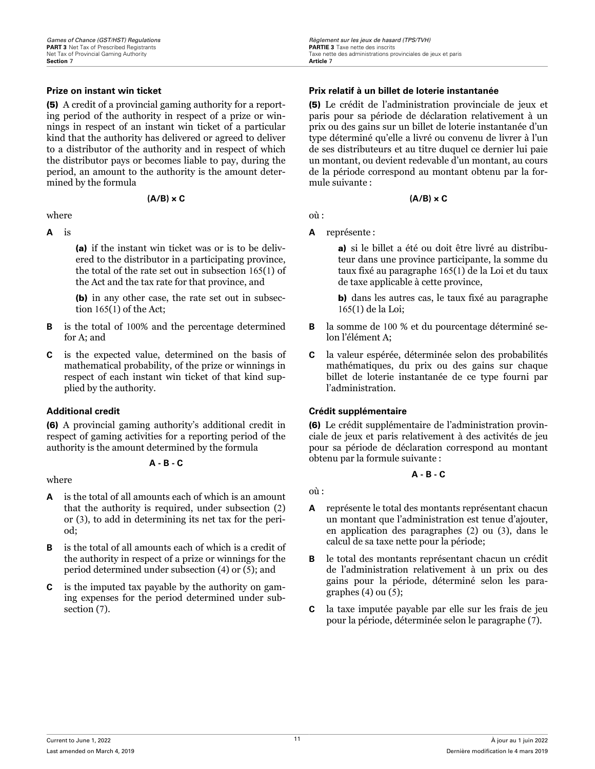(5) A credit of a provincial gaming authority for a reporting period of the authority in respect of a prize or winnings in respect of an instant win ticket of a particular kind that the authority has delivered or agreed to deliver to a distributor of the authority and in respect of which the distributor pays or becomes liable to pay, during the period, an amount to the authority is the amount determined by the formula

#### **(A/B) × C**

where

### **A** is

(a) if the instant win ticket was or is to be delivered to the distributor in a participating province, the total of the rate set out in subsection 165(1) of the Act and the tax rate for that province, and

(b) in any other case, the rate set out in subsection 165(1) of the Act;

- **B** is the total of 100% and the percentage determined for A; and
- **C** is the expected value, determined on the basis of mathematical probability, of the prize or winnings in respect of each instant win ticket of that kind supplied by the authority.

(6) A provincial gaming authority's additional credit in respect of gaming activities for a reporting period of the authority is the amount determined by the formula

**A - B - C**

where

- **A** is the total of all amounts each of which is an amount that the authority is required, under subsection (2) or (3), to add in determining its net tax for the period;
- **B** is the total of all amounts each of which is a credit of the authority in respect of a prize or winnings for the period determined under subsection (4) or (5); and
- **C** is the imputed tax payable by the authority on gaming expenses for the period determined under subsection (7).

#### **Prize on instant win ticket Prix relatif à un billet de loterie instantanée**

(5) Le crédit de l'administration provinciale de jeux et paris pour sa période de déclaration relativement à un prix ou des gains sur un billet de loterie instantanée d'un type déterminé qu'elle a livré ou convenu de livrer à l'un de ses distributeurs et au titre duquel ce dernier lui paie un montant, ou devient redevable d'un montant, au cours de la période correspond au montant obtenu par la formule suivante :

#### **(A/B) × C**

où :

**A** représente :

a) si le billet a été ou doit être livré au distributeur dans une province participante, la somme du taux fixé au paragraphe 165(1) de la Loi et du taux de taxe applicable à cette province,

b) dans les autres cas, le taux fixé au paragraphe 165(1) de la Loi;

- **B** la somme de 100 % et du pourcentage déterminé selon l'élément A;
- **C** la valeur espérée, déterminée selon des probabilités mathématiques, du prix ou des gains sur chaque billet de loterie instantanée de ce type fourni par l'administration.

### **Additional credit Crédit supplémentaire**

(6) Le crédit supplémentaire de l'administration provinciale de jeux et paris relativement à des activités de jeu pour sa période de déclaration correspond au montant obtenu par la formule suivante :

### **A - B - C**

où :

- **A** représente le total des montants représentant chacun un montant que l'administration est tenue d'ajouter, en application des paragraphes (2) ou (3), dans le calcul de sa taxe nette pour la période;
- **B** le total des montants représentant chacun un crédit de l'administration relativement à un prix ou des gains pour la période, déterminé selon les paragraphes  $(4)$  ou  $(5)$ ;
- **C** la taxe imputée payable par elle sur les frais de jeu pour la période, déterminée selon le paragraphe (7).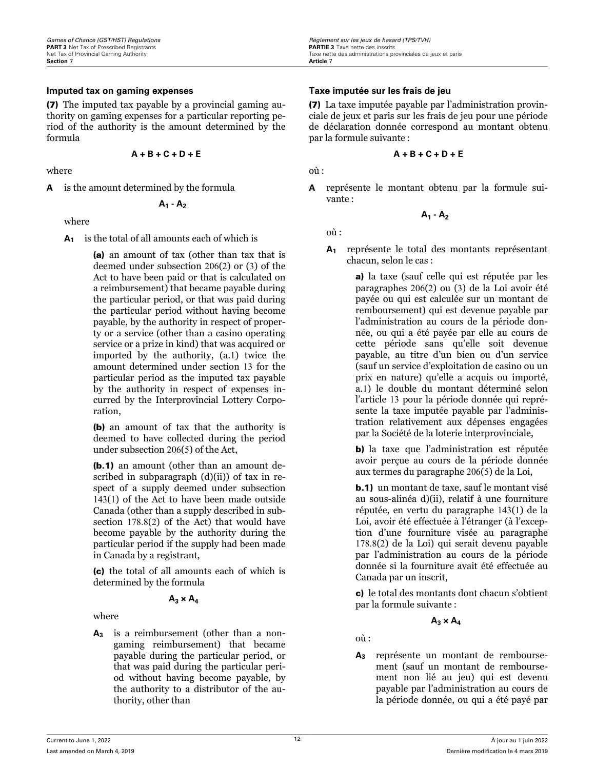#### **Imputed tax on gaming expenses Taxe imputée sur les frais de jeu**

(7) The imputed tax payable by a provincial gaming authority on gaming expenses for a particular reporting period of the authority is the amount determined by the formula

$$
A + B + C + D + E
$$

where

**A** is the amount determined by the formula

$$
A_1 - A_2
$$

where

**A<sup>1</sup>** is the total of all amounts each of which is

(a) an amount of tax (other than tax that is deemed under subsection 206(2) or (3) of the Act to have been paid or that is calculated on a reimbursement) that became payable during the particular period, or that was paid during the particular period without having become payable, by the authority in respect of property or a service (other than a casino operating service or a prize in kind) that was acquired or imported by the authority, (a.1) twice the amount determined under section 13 for the particular period as the imputed tax payable by the authority in respect of expenses incurred by the Interprovincial Lottery Corporation,

(b) an amount of tax that the authority is deemed to have collected during the period under subsection 206(5) of the Act,

(b.1) an amount (other than an amount described in subparagraph  $(d)(ii)$  of tax in respect of a supply deemed under subsection 143(1) of the Act to have been made outside Canada (other than a supply described in subsection 178.8(2) of the Act) that would have become payable by the authority during the particular period if the supply had been made in Canada by a registrant,

(c) the total of all amounts each of which is determined by the formula

### $A_3 \times A_4$

where

**A<sup>3</sup>** is a reimbursement (other than a nongaming reimbursement) that became payable during the particular period, or that was paid during the particular period without having become payable, by the authority to a distributor of the authority, other than

(7) La taxe imputée payable par l'administration provinciale de jeux et paris sur les frais de jeu pour une période de déclaration donnée correspond au montant obtenu par la formule suivante :

$$
A + B + C + D + E
$$

où :

**A** représente le montant obtenu par la formule suivante :

$$
A_1 - A_2
$$

où :

**A<sup>1</sup>** représente le total des montants représentant chacun, selon le cas :

> a) la taxe (sauf celle qui est réputée par les paragraphes 206(2) ou (3) de la Loi avoir été payée ou qui est calculée sur un montant de remboursement) qui est devenue payable par l'administration au cours de la période donnée, ou qui a été payée par elle au cours de cette période sans qu'elle soit devenue payable, au titre d'un bien ou d'un service (sauf un service d'exploitation de casino ou un prix en nature) qu'elle a acquis ou importé, a.1) le double du montant déterminé selon l'article 13 pour la période donnée qui représente la taxe imputée payable par l'administration relativement aux dépenses engagées par la Société de la loterie interprovinciale,

b) la taxe que l'administration est réputée avoir perçue au cours de la période donnée aux termes du paragraphe 206(5) de la Loi,

b.1) un montant de taxe, sauf le montant visé au sous-alinéa d)(ii), relatif à une fourniture réputée, en vertu du paragraphe 143(1) de la Loi, avoir été effectuée à l'étranger (à l'exception d'une fourniture visée au paragraphe 178.8(2) de la Loi) qui serait devenu payable par l'administration au cours de la période donnée si la fourniture avait été effectuée au Canada par un inscrit,

c) le total des montants dont chacun s'obtient par la formule suivante :

$$
A_3 \times A_4
$$

où :

**A<sup>3</sup>** représente un montant de remboursement (sauf un montant de remboursement non lié au jeu) qui est devenu payable par l'administration au cours de la période donnée, ou qui a été payé par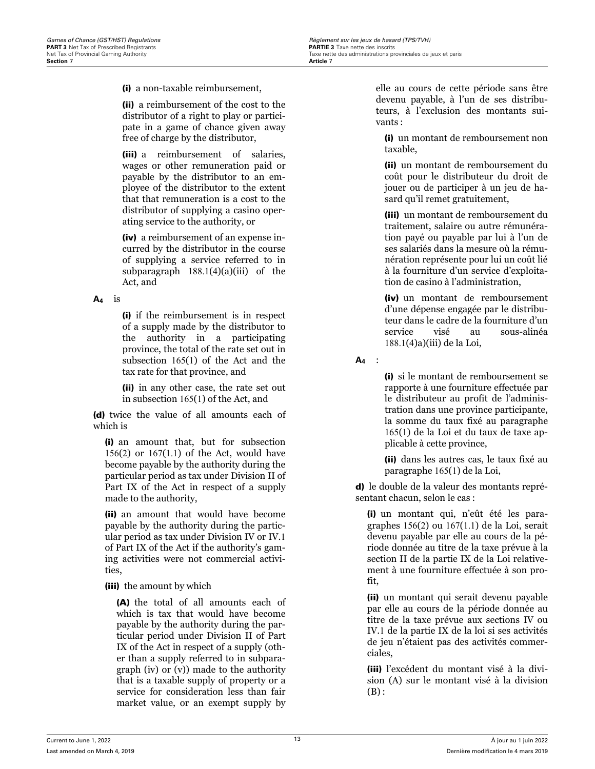(i) a non-taxable reimbursement,

(ii) a reimbursement of the cost to the distributor of a right to play or participate in a game of chance given away free of charge by the distributor,

(iii) a reimbursement of salaries, wages or other remuneration paid or payable by the distributor to an employee of the distributor to the extent that that remuneration is a cost to the distributor of supplying a casino operating service to the authority, or

(iv) a reimbursement of an expense incurred by the distributor in the course of supplying a service referred to in subparagraph  $188.1(4)(a)(iii)$  of the Act, and

### **A<sup>4</sup>** is

(i) if the reimbursement is in respect of a supply made by the distributor to the authority in a participating province, the total of the rate set out in subsection 165(1) of the Act and the tax rate for that province, and

(ii) in any other case, the rate set out in subsection 165(1) of the Act, and

(d) twice the value of all amounts each of which is

(i) an amount that, but for subsection 156(2) or 167(1.1) of the Act, would have become payable by the authority during the particular period as tax under Division II of Part IX of the Act in respect of a supply made to the authority,

(ii) an amount that would have become payable by the authority during the particular period as tax under Division IV or IV.1 of Part IX of the Act if the authority's gaming activities were not commercial activities,

(iii) the amount by which

(A) the total of all amounts each of which is tax that would have become payable by the authority during the particular period under Division II of Part IX of the Act in respect of a supply (other than a supply referred to in subparagraph (iv) or (v)) made to the authority that is a taxable supply of property or a service for consideration less than fair market value, or an exempt supply by

elle au cours de cette période sans être devenu payable, à l'un de ses distributeurs, à l'exclusion des montants suivants :

(i) un montant de remboursement non taxable,

(ii) un montant de remboursement du coût pour le distributeur du droit de jouer ou de participer à un jeu de hasard qu'il remet gratuitement,

(iii) un montant de remboursement du traitement, salaire ou autre rémunération payé ou payable par lui à l'un de ses salariés dans la mesure où la rémunération représente pour lui un coût lié à la fourniture d'un service d'exploitation de casino à l'administration,

(iv) un montant de remboursement d'une dépense engagée par le distributeur dans le cadre de la fourniture d'un service visé au sous-alinéa 188.1(4)a)(iii) de la Loi,

**A<sup>4</sup>** :

(i) si le montant de remboursement se rapporte à une fourniture effectuée par le distributeur au profit de l'administration dans une province participante, la somme du taux fixé au paragraphe 165(1) de la Loi et du taux de taxe applicable à cette province,

(ii) dans les autres cas, le taux fixé au paragraphe 165(1) de la Loi,

d) le double de la valeur des montants représentant chacun, selon le cas :

(i) un montant qui, n'eût été les paragraphes 156(2) ou 167(1.1) de la Loi, serait devenu payable par elle au cours de la période donnée au titre de la taxe prévue à la section II de la partie IX de la Loi relativement à une fourniture effectuée à son profit,

(ii) un montant qui serait devenu payable par elle au cours de la période donnée au titre de la taxe prévue aux sections IV ou IV.1 de la partie IX de la loi si ses activités de jeu n'étaient pas des activités commerciales,

(iii) l'excédent du montant visé à la division (A) sur le montant visé à la division  $(B)$ :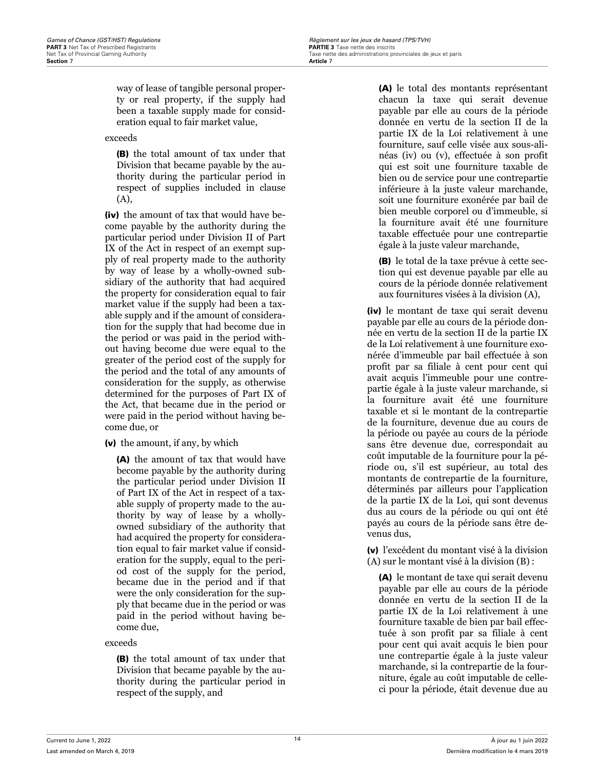way of lease of tangible personal property or real property, if the supply had been a taxable supply made for consideration equal to fair market value,

exceeds

(B) the total amount of tax under that Division that became payable by the authority during the particular period in respect of supplies included in clause (A),

(iv) the amount of tax that would have become payable by the authority during the particular period under Division II of Part IX of the Act in respect of an exempt supply of real property made to the authority by way of lease by a wholly-owned subsidiary of the authority that had acquired the property for consideration equal to fair market value if the supply had been a taxable supply and if the amount of consideration for the supply that had become due in the period or was paid in the period without having become due were equal to the greater of the period cost of the supply for the period and the total of any amounts of consideration for the supply, as otherwise determined for the purposes of Part IX of the Act, that became due in the period or were paid in the period without having become due, or

(v) the amount, if any, by which

(A) the amount of tax that would have become payable by the authority during the particular period under Division II of Part IX of the Act in respect of a taxable supply of property made to the authority by way of lease by a whollyowned subsidiary of the authority that had acquired the property for consideration equal to fair market value if consideration for the supply, equal to the period cost of the supply for the period, became due in the period and if that were the only consideration for the supply that became due in the period or was paid in the period without having become due,

### exceeds

(B) the total amount of tax under that Division that became payable by the authority during the particular period in respect of the supply, and

(A) le total des montants représentant chacun la taxe qui serait devenue payable par elle au cours de la période donnée en vertu de la section II de la partie IX de la Loi relativement à une fourniture, sauf celle visée aux sous-alinéas (iv) ou (v), effectuée à son profit qui est soit une fourniture taxable de bien ou de service pour une contrepartie inférieure à la juste valeur marchande, soit une fourniture exonérée par bail de bien meuble corporel ou d'immeuble, si la fourniture avait été une fourniture taxable effectuée pour une contrepartie égale à la juste valeur marchande,

(B) le total de la taxe prévue à cette section qui est devenue payable par elle au cours de la période donnée relativement aux fournitures visées à la division (A),

(iv) le montant de taxe qui serait devenu payable par elle au cours de la période donnée en vertu de la section II de la partie IX de la Loi relativement à une fourniture exonérée d'immeuble par bail effectuée à son profit par sa filiale à cent pour cent qui avait acquis l'immeuble pour une contrepartie égale à la juste valeur marchande, si la fourniture avait été une fourniture taxable et si le montant de la contrepartie de la fourniture, devenue due au cours de la période ou payée au cours de la période sans être devenue due, correspondait au coût imputable de la fourniture pour la période ou, s'il est supérieur, au total des montants de contrepartie de la fourniture, déterminés par ailleurs pour l'application de la partie IX de la Loi, qui sont devenus dus au cours de la période ou qui ont été payés au cours de la période sans être devenus dus,

(v) l'excédent du montant visé à la division (A) sur le montant visé à la division (B) :

(A) le montant de taxe qui serait devenu payable par elle au cours de la période donnée en vertu de la section II de la partie IX de la Loi relativement à une fourniture taxable de bien par bail effectuée à son profit par sa filiale à cent pour cent qui avait acquis le bien pour une contrepartie égale à la juste valeur marchande, si la contrepartie de la fourniture, égale au coût imputable de celleci pour la période, était devenue due au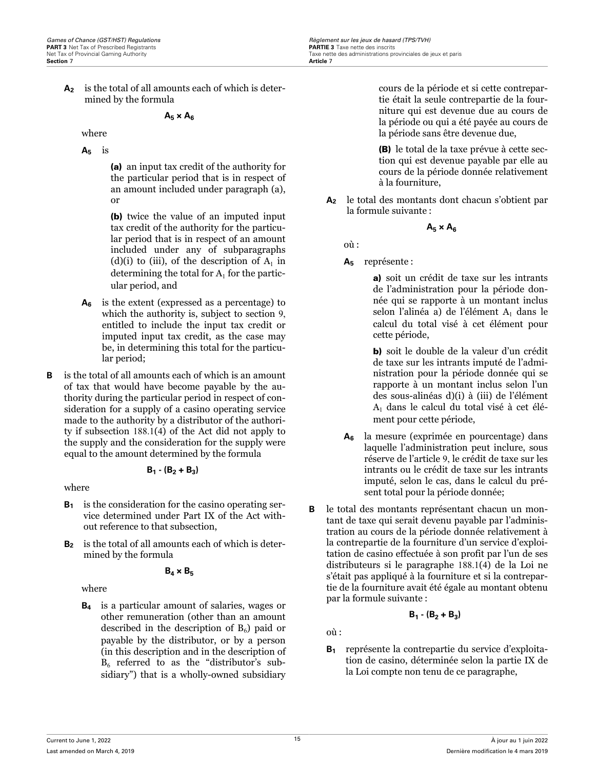**A<sup>2</sup>** is the total of all amounts each of which is determined by the formula

### $A_5 \times A_6$

where

**A<sup>5</sup>** is

(a) an input tax credit of the authority for the particular period that is in respect of an amount included under paragraph (a), or

(b) twice the value of an imputed input tax credit of the authority for the particular period that is in respect of an amount included under any of subparagraphs (d)(i) to (iii), of the description of  $A_1$  in determining the total for  $A_1$  for the particular period, and

- **A<sup>6</sup>** is the extent (expressed as a percentage) to which the authority is, subject to section 9, entitled to include the input tax credit or imputed input tax credit, as the case may be, in determining this total for the particular period;
- **B** is the total of all amounts each of which is an amount of tax that would have become payable by the authority during the particular period in respect of consideration for a supply of a casino operating service made to the authority by a distributor of the authority if subsection 188.1(4) of the Act did not apply to the supply and the consideration for the supply were equal to the amount determined by the formula

$$
\mathsf{B}_1\cdot (\mathsf{B}_2 + \mathsf{B}_3)
$$

where

- **B<sup>1</sup>** is the consideration for the casino operating service determined under Part IX of the Act without reference to that subsection,
- **B<sup>2</sup>** is the total of all amounts each of which is determined by the formula

### $B_4 \times B_5$

where

**B<sup>4</sup>** is a particular amount of salaries, wages or other remuneration (other than an amount described in the description of  $B_6$ ) paid or payable by the distributor, or by a person (in this description and in the description of  $B<sub>6</sub>$  referred to as the "distributor's subsidiary") that is a wholly-owned subsidiary

cours de la période et si cette contrepartie était la seule contrepartie de la fourniture qui est devenue due au cours de la période ou qui a été payée au cours de la période sans être devenue due,

(B) le total de la taxe prévue à cette section qui est devenue payable par elle au cours de la période donnée relativement à la fourniture,

**A<sup>2</sup>** le total des montants dont chacun s'obtient par la formule suivante :

$$
A_5 \times A_6
$$

 $\sin \cdot$ 

**A<sup>5</sup>** représente :

a) soit un crédit de taxe sur les intrants de l'administration pour la période donnée qui se rapporte à un montant inclus selon l'alinéa a) de l'élément  $\mathrm{A}_1$  dans le calcul du total visé à cet élément pour cette période,

b) soit le double de la valeur d'un crédit de taxe sur les intrants imputé de l'administration pour la période donnée qui se rapporte à un montant inclus selon l'un des sous-alinéas d)(i) à (iii) de l'élément A<sup>1</sup> dans le calcul du total visé à cet élément pour cette période,

- **A<sup>6</sup>** la mesure (exprimée en pourcentage) dans laquelle l'administration peut inclure, sous réserve de l'article 9, le crédit de taxe sur les intrants ou le crédit de taxe sur les intrants imputé, selon le cas, dans le calcul du présent total pour la période donnée;
- **B** le total des montants représentant chacun un montant de taxe qui serait devenu payable par l'administration au cours de la période donnée relativement à la contrepartie de la fourniture d'un service d'exploitation de casino effectuée à son profit par l'un de ses distributeurs si le paragraphe 188.1(4) de la Loi ne s'était pas appliqué à la fourniture et si la contrepartie de la fourniture avait été égale au montant obtenu par la formule suivante :

$$
\mathsf{B}_1\cdot (\mathsf{B}_2 + \mathsf{B}_3)
$$

où :

**B<sup>1</sup>** représente la contrepartie du service d'exploitation de casino, déterminée selon la partie IX de la Loi compte non tenu de ce paragraphe,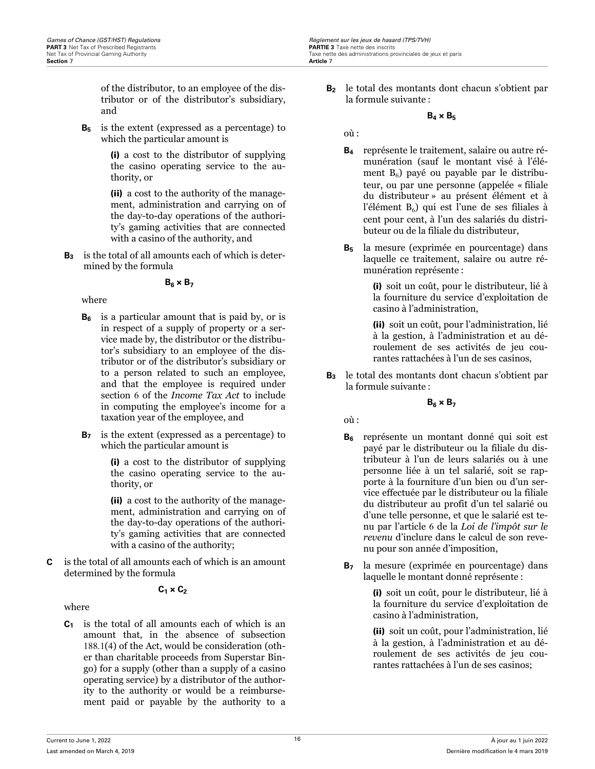of the distributor, to an employee of the distributor or of the distributor's subsidiary, and

**B<sup>5</sup>** is the extent (expressed as a percentage) to which the particular amount is

> (i) a cost to the distributor of supplying the casino operating service to the authority, or

> (ii) a cost to the authority of the management, administration and carrying on of the day-to-day operations of the authority's gaming activities that are connected with a casino of the authority, and

**B<sup>3</sup>** is the total of all amounts each of which is determined by the formula

### $B<sub>6</sub> \times B<sub>7</sub>$

where

- **B<sup>6</sup>** is a particular amount that is paid by, or is in respect of a supply of property or a service made by, the distributor or the distributor's subsidiary to an employee of the distributor or of the distributor's subsidiary or to a person related to such an employee, and that the employee is required under section 6 of the *Income Tax Act* to include in computing the employee's income for a taxation year of the employee, and
- **B<sup>7</sup>** is the extent (expressed as a percentage) to which the particular amount is

(i) a cost to the distributor of supplying the casino operating service to the authority, or

(ii) a cost to the authority of the management, administration and carrying on of the day-to-day operations of the authority's gaming activities that are connected with a casino of the authority;

**C** is the total of all amounts each of which is an amount determined by the formula

## **C1 × C<sup>2</sup>**

where

**C<sup>1</sup>** is the total of all amounts each of which is an amount that, in the absence of subsection 188.1(4) of the Act, would be consideration (other than charitable proceeds from Superstar Bingo) for a supply (other than a supply of a casino operating service) by a distributor of the authority to the authority or would be a reimbursement paid or payable by the authority to a **B<sup>2</sup>** le total des montants dont chacun s'obtient par la formule suivante :

### $B_4 \times B_5$

où :

- **B<sup>4</sup>** représente le traitement, salaire ou autre rémunération (sauf le montant visé à l'élément  $B_6$ ) payé ou payable par le distributeur, ou par une personne (appelée « filiale du distributeur » au présent élément et à l'élément  $\mathrm{B}_6$ ) qui est l'une de ses filiales à cent pour cent, à l'un des salariés du distributeur ou de la filiale du distributeur,
- **B<sup>5</sup>** la mesure (exprimée en pourcentage) dans laquelle ce traitement, salaire ou autre rémunération représente :

(i) soit un coût, pour le distributeur, lié à la fourniture du service d'exploitation de casino à l'administration,

(ii) soit un coût, pour l'administration, lié à la gestion, à l'administration et au déroulement de ses activités de jeu courantes rattachées à l'un de ses casinos,

**B<sup>3</sup>** le total des montants dont chacun s'obtient par la formule suivante :

### **B6 × B<sup>7</sup>**

où :

- **B<sup>6</sup>** représente un montant donné qui soit est payé par le distributeur ou la filiale du distributeur à l'un de leurs salariés ou à une personne liée à un tel salarié, soit se rapporte à la fourniture d'un bien ou d'un service effectuée par le distributeur ou la filiale du distributeur au profit d'un tel salarié ou d'une telle personne, et que le salarié est tenu par l'article 6 de la *Loi de l'impôt sur le revenu* d'inclure dans le calcul de son revenu pour son année d'imposition,
- **B<sup>7</sup>** la mesure (exprimée en pourcentage) dans laquelle le montant donné représente :

(i) soit un coût, pour le distributeur, lié à la fourniture du service d'exploitation de casino à l'administration,

(ii) soit un coût, pour l'administration, lié à la gestion, à l'administration et au déroulement de ses activités de jeu courantes rattachées à l'un de ses casinos;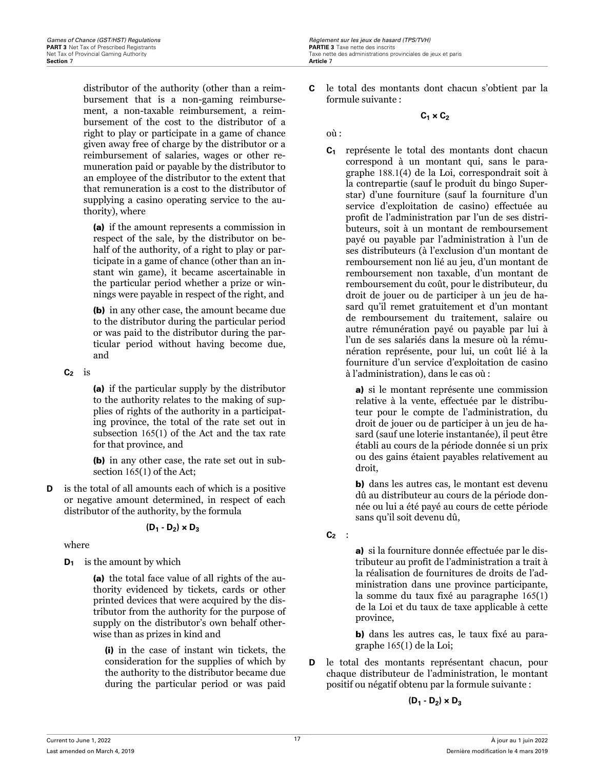distributor of the authority (other than a reimbursement that is a non-gaming reimbursement, a non-taxable reimbursement, a reimbursement of the cost to the distributor of a right to play or participate in a game of chance given away free of charge by the distributor or a reimbursement of salaries, wages or other remuneration paid or payable by the distributor to an employee of the distributor to the extent that that remuneration is a cost to the distributor of supplying a casino operating service to the authority), where

(a) if the amount represents a commission in respect of the sale, by the distributor on behalf of the authority, of a right to play or participate in a game of chance (other than an instant win game), it became ascertainable in the particular period whether a prize or winnings were payable in respect of the right, and

(b) in any other case, the amount became due to the distributor during the particular period or was paid to the distributor during the particular period without having become due, and

**C<sup>2</sup>** is

(a) if the particular supply by the distributor to the authority relates to the making of supplies of rights of the authority in a participating province, the total of the rate set out in subsection 165(1) of the Act and the tax rate for that province, and

(b) in any other case, the rate set out in subsection 165(1) of the Act;

**D** is the total of all amounts each of which is a positive or negative amount determined, in respect of each distributor of the authority, by the formula

$$
(\mathsf{D}_1 \cdot \mathsf{D}_2) \times \mathsf{D}_3
$$

where

**D<sup>1</sup>** is the amount by which

(a) the total face value of all rights of the authority evidenced by tickets, cards or other printed devices that were acquired by the distributor from the authority for the purpose of supply on the distributor's own behalf otherwise than as prizes in kind and

(i) in the case of instant win tickets, the consideration for the supplies of which by the authority to the distributor became due during the particular period or was paid

**C** le total des montants dont chacun s'obtient par la formule suivante :

 $C_1 \times C_2$ 

où :

**C<sup>1</sup>** représente le total des montants dont chacun correspond à un montant qui, sans le paragraphe 188.1(4) de la Loi, correspondrait soit à la contrepartie (sauf le produit du bingo Superstar) d'une fourniture (sauf la fourniture d'un service d'exploitation de casino) effectuée au profit de l'administration par l'un de ses distributeurs, soit à un montant de remboursement payé ou payable par l'administration à l'un de ses distributeurs (à l'exclusion d'un montant de remboursement non lié au jeu, d'un montant de remboursement non taxable, d'un montant de remboursement du coût, pour le distributeur, du droit de jouer ou de participer à un jeu de hasard qu'il remet gratuitement et d'un montant de remboursement du traitement, salaire ou autre rémunération payé ou payable par lui à l'un de ses salariés dans la mesure où la rémunération représente, pour lui, un coût lié à la fourniture d'un service d'exploitation de casino à l'administration), dans le cas où :

> a) si le montant représente une commission relative à la vente, effectuée par le distributeur pour le compte de l'administration, du droit de jouer ou de participer à un jeu de hasard (sauf une loterie instantanée), il peut être établi au cours de la période donnée si un prix ou des gains étaient payables relativement au droit,

> b) dans les autres cas, le montant est devenu dû au distributeur au cours de la période donnée ou lui a été payé au cours de cette période sans qu'il soit devenu dû,

**C<sup>2</sup>** :

a) si la fourniture donnée effectuée par le distributeur au profit de l'administration a trait à la réalisation de fournitures de droits de l'administration dans une province participante, la somme du taux fixé au paragraphe 165(1) de la Loi et du taux de taxe applicable à cette province,

b) dans les autres cas, le taux fixé au paragraphe 165(1) de la Loi;

**D** le total des montants représentant chacun, pour chaque distributeur de l'administration, le montant positif ou négatif obtenu par la formule suivante :

$$
(\mathsf{D}_1 \cdot \mathsf{D}_2) \times \mathsf{D}_3
$$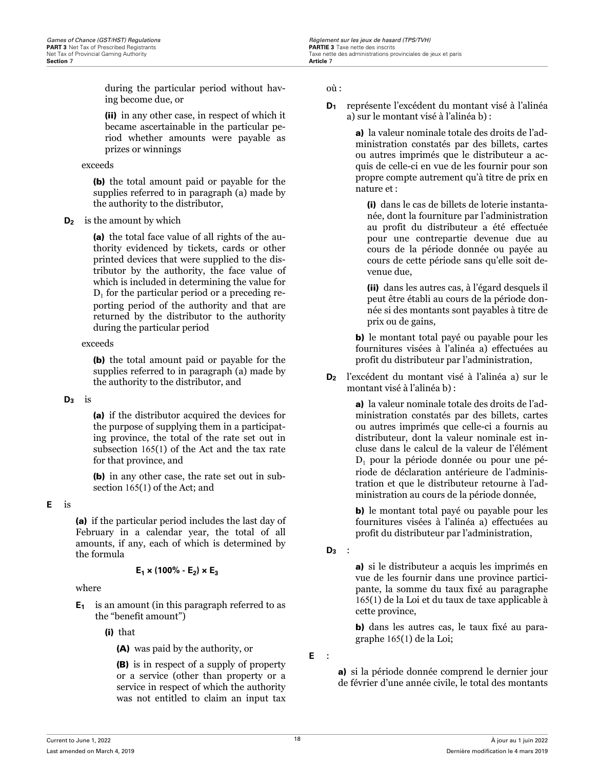during the particular period without having become due, or

(ii) in any other case, in respect of which it became ascertainable in the particular period whether amounts were payable as prizes or winnings

#### exceeds

(b) the total amount paid or payable for the supplies referred to in paragraph (a) made by the authority to the distributor,

### **D<sup>2</sup>** is the amount by which

(a) the total face value of all rights of the authority evidenced by tickets, cards or other printed devices that were supplied to the distributor by the authority, the face value of which is included in determining the value for  $D_1$  for the particular period or a preceding reporting period of the authority and that are returned by the distributor to the authority during the particular period

### exceeds

(b) the total amount paid or payable for the supplies referred to in paragraph (a) made by the authority to the distributor, and

### $D_3$  is

(a) if the distributor acquired the devices for the purpose of supplying them in a participating province, the total of the rate set out in subsection 165(1) of the Act and the tax rate for that province, and

(b) in any other case, the rate set out in subsection 165(1) of the Act; and

### **E** is

(a) if the particular period includes the last day of February in a calendar year, the total of all amounts, if any, each of which is determined by the formula

### $E_1 \times (100\% - E_2) \times E_3$

### where

**E<sup>1</sup>** is an amount (in this paragraph referred to as the "benefit amount")

(i) that

(A) was paid by the authority, or

(B) is in respect of a supply of property or a service (other than property or a service in respect of which the authority was not entitled to claim an input tax

où :

**D<sup>1</sup>** représente l'excédent du montant visé à l'alinéa a) sur le montant visé à l'alinéa b) :

> a) la valeur nominale totale des droits de l'administration constatés par des billets, cartes ou autres imprimés que le distributeur a acquis de celle-ci en vue de les fournir pour son propre compte autrement qu'à titre de prix en nature et :

(i) dans le cas de billets de loterie instantanée, dont la fourniture par l'administration au profit du distributeur a été effectuée pour une contrepartie devenue due au cours de la période donnée ou payée au cours de cette période sans qu'elle soit devenue due,

(ii) dans les autres cas, à l'égard desquels il peut être établi au cours de la période donnée si des montants sont payables à titre de prix ou de gains,

b) le montant total payé ou payable pour les fournitures visées à l'alinéa a) effectuées au profit du distributeur par l'administration,

**D<sup>2</sup>** l'excédent du montant visé à l'alinéa a) sur le montant visé à l'alinéa b) :

> a) la valeur nominale totale des droits de l'administration constatés par des billets, cartes ou autres imprimés que celle-ci a fournis au distributeur, dont la valeur nominale est incluse dans le calcul de la valeur de l'élément D<sup>1</sup> pour la période donnée ou pour une période de déclaration antérieure de l'administration et que le distributeur retourne à l'administration au cours de la période donnée,

> b) le montant total payé ou payable pour les fournitures visées à l'alinéa a) effectuées au profit du distributeur par l'administration,

**D<sup>3</sup>** :

a) si le distributeur a acquis les imprimés en vue de les fournir dans une province participante, la somme du taux fixé au paragraphe 165(1) de la Loi et du taux de taxe applicable à cette province,

b) dans les autres cas, le taux fixé au paragraphe 165(1) de la Loi;

**E** :

a) si la période donnée comprend le dernier jour de février d'une année civile, le total des montants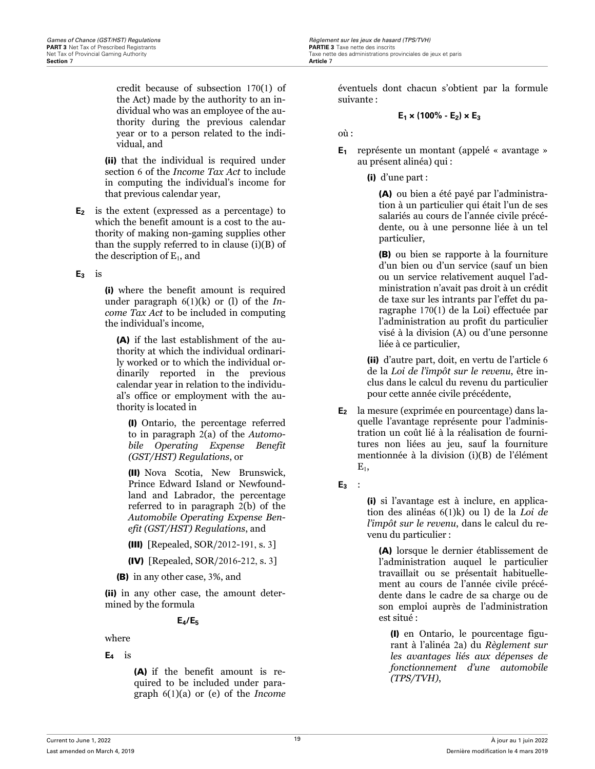credit because of subsection 170(1) of the Act) made by the authority to an individual who was an employee of the authority during the previous calendar year or to a person related to the individual, and

(ii) that the individual is required under section 6 of the *Income Tax Act* to include in computing the individual's income for that previous calendar year,

**E<sup>2</sup>** is the extent (expressed as a percentage) to which the benefit amount is a cost to the authority of making non-gaming supplies other than the supply referred to in clause (i)(B) of the description of  $\mathrm{E_{1}}$ , and

### **E<sup>3</sup>** is

(i) where the benefit amount is required under paragraph 6(1)(k) or (l) of the *Income Tax Act* to be included in computing the individual's income,

(A) if the last establishment of the authority at which the individual ordinarily worked or to which the individual ordinarily reported in the previous calendar year in relation to the individual's office or employment with the authority is located in

(I) Ontario, the percentage referred to in paragraph 2(a) of the *Automobile Operating Expense Benefit (GST/HST) Regulations*, or

(II) Nova Scotia, New Brunswick, Prince Edward Island or Newfoundland and Labrador, the percentage referred to in paragraph 2(b) of the *Automobile Operating Expense Benefit (GST/HST) Regulations*, and

- (III) [Repealed, SOR/2012-191, s. 3]
- (IV) [Repealed, SOR/2016-212, s. 3]

(B) in any other case, 3%, and

(ii) in any other case, the amount determined by the formula

## **E4/E<sup>5</sup>**

where

**E<sup>4</sup>** is

(A) if the benefit amount is required to be included under paragraph 6(1)(a) or (e) of the *Income*

éventuels dont chacun s'obtient par la formule suivante :

### $E_1 \times (100\% - E_2) \times E_3$

où :

- **E<sup>1</sup>** représente un montant (appelé « avantage » au présent alinéa) qui :
	- (i) d'une part :

(A) ou bien a été payé par l'administration à un particulier qui était l'un de ses salariés au cours de l'année civile précédente, ou à une personne liée à un tel particulier,

(B) ou bien se rapporte à la fourniture d'un bien ou d'un service (sauf un bien ou un service relativement auquel l'administration n'avait pas droit à un crédit de taxe sur les intrants par l'effet du paragraphe 170(1) de la Loi) effectuée par l'administration au profit du particulier visé à la division (A) ou d'une personne liée à ce particulier,

(ii) d'autre part, doit, en vertu de l'article 6 de la *Loi de l'impôt sur le revenu*, être inclus dans le calcul du revenu du particulier pour cette année civile précédente,

- **E<sup>2</sup>** la mesure (exprimée en pourcentage) dans laquelle l'avantage représente pour l'administration un coût lié à la réalisation de fournitures non liées au jeu, sauf la fourniture mentionnée à la division (i)(B) de l'élément  ${\rm E}^{}_1,$
- **E<sup>3</sup>** :

(i) si l'avantage est à inclure, en application des alinéas 6(1)k) ou l) de la *Loi de l'impôt sur le revenu*, dans le calcul du revenu du particulier :

(A) lorsque le dernier établissement de l'administration auquel le particulier travaillait ou se présentait habituellement au cours de l'année civile précédente dans le cadre de sa charge ou de son emploi auprès de l'administration est situé :

(I) en Ontario, le pourcentage figurant à l'alinéa 2a) du *Règlement sur les avantages liés aux dépenses de fonctionnement d'une automobile (TPS/TVH)*,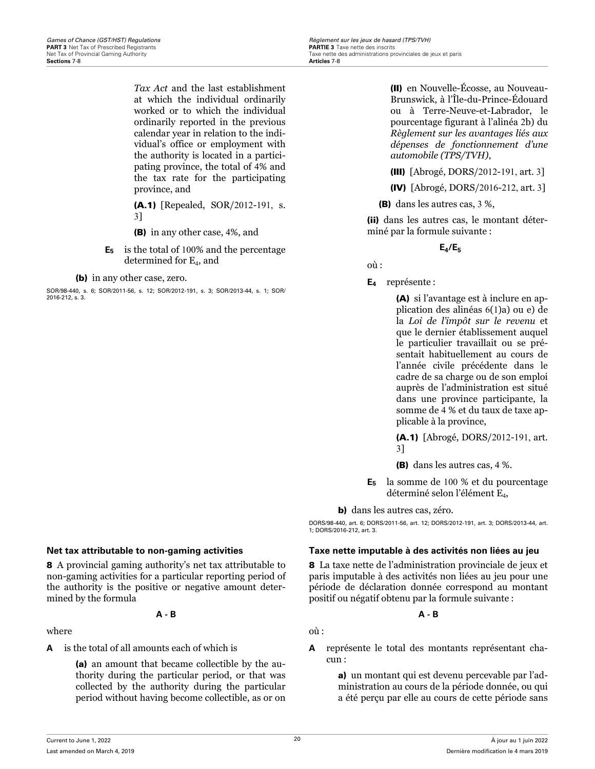<span id="page-24-0"></span>**Games of Chance (GST/HST) Regulations** *R***egulations Regulations Regularity Regularity Regularity Regularity Regularity Regularity Regularity PARTIF 3 Taxe nette des inscrits <b>PARTIF 3** Taxe nette des inscrits Taxe nette des administrations provinciales de jeux et paris<br>Articles 7-8

> *Tax Act* and the last establishment at which the individual ordinarily worked or to which the individual ordinarily reported in the previous calendar year in relation to the individual's office or employment with the authority is located in a participating province, the total of 4% and the tax rate for the participating province, and

(A.1) [Repealed, SOR/2012-191, s. 3]

(B) in any other case, 4%, and

**E<sup>5</sup>** is the total of 100% and the percentage  $d$ etermined for  $E_4$ , and

(b) in any other case, zero.

SOR/98-440, s. 6; SOR/2011-56, s. 12; SOR/2012-191, s. 3; SOR/2013-44, s. 1; SOR/ 2016-212, s. 3.

(II) en Nouvelle-Écosse, au Nouveau-Brunswick, à l'Île-du-Prince-Édouard ou à Terre-Neuve-et-Labrador, le pourcentage figurant à l'alinéa 2b) du *Règlement sur les avantages liés aux dépenses de fonctionnement d'une automobile (TPS/TVH)*,

(III) [Abrogé, DORS/2012-191, art. 3]

(IV) [Abrogé, DORS/2016-212, art. 3]

(B) dans les autres cas, 3 %,

(ii) dans les autres cas, le montant déterminé par la formule suivante :

 $E_4$ / $E_5$ 

où :

**E<sup>4</sup>** représente :

(A) si l'avantage est à inclure en application des alinéas 6(1)a) ou e) de la *Loi de l'impôt sur le revenu* et que le dernier établissement auquel le particulier travaillait ou se présentait habituellement au cours de l'année civile précédente dans le cadre de sa charge ou de son emploi auprès de l'administration est situé dans une province participante, la somme de 4 % et du taux de taxe applicable à la province,

(A.1) [Abrogé, DORS/2012-191, art. 3]

- (B) dans les autres cas, 4 %.
- **E<sup>5</sup>** la somme de 100 % et du pourcentage déterminé selon l'élément E<sub>4</sub>,

b) dans les autres cas, zéro.

DORS/98-440, art. 6; DORS/2011-56, art. 12; DORS/2012-191, art. 3; DORS/2013-44, art. 1; DORS/2016-212, art. 3.

### **Net tax attributable to non-gaming activities Taxe nette imputable à des activités non liées au jeu**

8 La taxe nette de l'administration provinciale de jeux et paris imputable à des activités non liées au jeu pour une période de déclaration donnée correspond au montant positif ou négatif obtenu par la formule suivante :

**A - B**

où :

**A** représente le total des montants représentant chacun :

> a) un montant qui est devenu percevable par l'administration au cours de la période donnée, ou qui a été perçu par elle au cours de cette période sans

8 A provincial gaming authority's net tax attributable to non-gaming activities for a particular reporting period of the authority is the positive or negative amount determined by the formula

**A - B**

where

**A** is the total of all amounts each of which is

(a) an amount that became collectible by the authority during the particular period, or that was collected by the authority during the particular period without having become collectible, as or on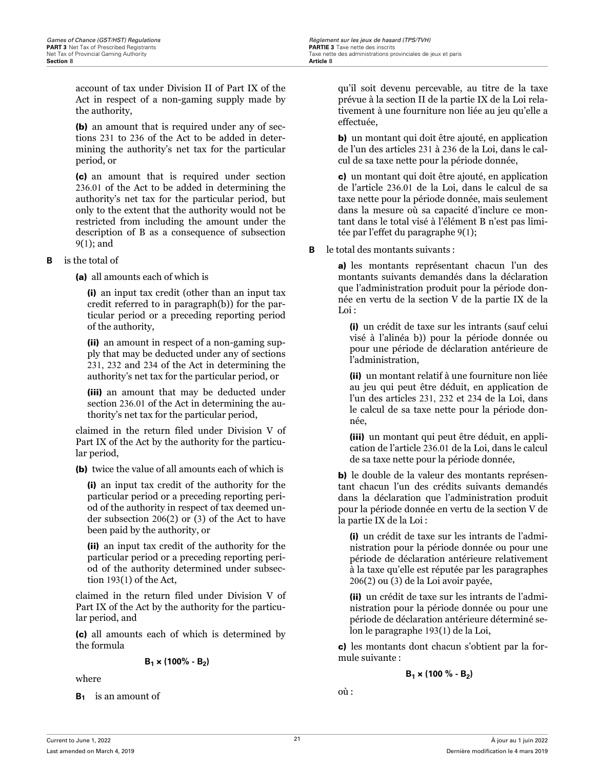account of tax under Division II of Part IX of the Act in respect of a non-gaming supply made by the authority,

(b) an amount that is required under any of sections 231 to 236 of the Act to be added in determining the authority's net tax for the particular period, or

(c) an amount that is required under section 236.01 of the Act to be added in determining the authority's net tax for the particular period, but only to the extent that the authority would not be restricted from including the amount under the description of B as a consequence of subsection 9(1); and

**B** is the total of

(a) all amounts each of which is

(i) an input tax credit (other than an input tax credit referred to in paragraph(b)) for the particular period or a preceding reporting period of the authority,

(ii) an amount in respect of a non-gaming supply that may be deducted under any of sections 231, 232 and 234 of the Act in determining the authority's net tax for the particular period, or

(iii) an amount that may be deducted under section 236.01 of the Act in determining the authority's net tax for the particular period,

claimed in the return filed under Division V of Part IX of the Act by the authority for the particular period,

(b) twice the value of all amounts each of which is

(i) an input tax credit of the authority for the particular period or a preceding reporting period of the authority in respect of tax deemed under subsection 206(2) or (3) of the Act to have been paid by the authority, or

(ii) an input tax credit of the authority for the particular period or a preceding reporting period of the authority determined under subsection 193(1) of the Act,

claimed in the return filed under Division V of Part IX of the Act by the authority for the particular period, and

(c) all amounts each of which is determined by the formula

$$
\mathsf{B}_1 \times (100\% \cdot \mathsf{B}_2)
$$

where

**B<sup>1</sup>** is an amount of

qu'il soit devenu percevable, au titre de la taxe prévue à la section II de la partie IX de la Loi relativement à une fourniture non liée au jeu qu'elle a effectuée,

b) un montant qui doit être ajouté, en application de l'un des articles 231 à 236 de la Loi, dans le calcul de sa taxe nette pour la période donnée,

c) un montant qui doit être ajouté, en application de l'article 236.01 de la Loi, dans le calcul de sa taxe nette pour la période donnée, mais seulement dans la mesure où sa capacité d'inclure ce montant dans le total visé à l'élément B n'est pas limitée par l'effet du paragraphe 9(1);

**B** le total des montants suivants :

a) les montants représentant chacun l'un des montants suivants demandés dans la déclaration que l'administration produit pour la période donnée en vertu de la section V de la partie IX de la Loi :

(i) un crédit de taxe sur les intrants (sauf celui visé à l'alinéa b)) pour la période donnée ou pour une période de déclaration antérieure de l'administration,

(ii) un montant relatif à une fourniture non liée au jeu qui peut être déduit, en application de l'un des articles 231, 232 et 234 de la Loi, dans le calcul de sa taxe nette pour la période donnée,

(iii) un montant qui peut être déduit, en application de l'article 236.01 de la Loi, dans le calcul de sa taxe nette pour la période donnée,

b) le double de la valeur des montants représentant chacun l'un des crédits suivants demandés dans la déclaration que l'administration produit pour la période donnée en vertu de la section V de la partie IX de la Loi :

(i) un crédit de taxe sur les intrants de l'administration pour la période donnée ou pour une période de déclaration antérieure relativement à la taxe qu'elle est réputée par les paragraphes 206(2) ou (3) de la Loi avoir payée,

(ii) un crédit de taxe sur les intrants de l'administration pour la période donnée ou pour une période de déclaration antérieure déterminé selon le paragraphe 193(1) de la Loi,

c) les montants dont chacun s'obtient par la formule suivante :

$$
\mathsf{B}_1 \times (100\text{ % - } \mathsf{B}_2)
$$

où :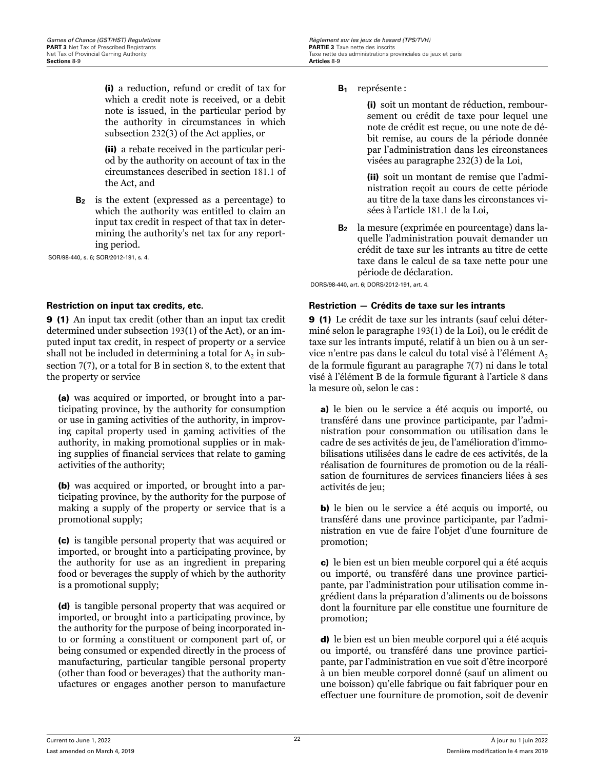<span id="page-26-0"></span>(i) a reduction, refund or credit of tax for which a credit note is received, or a debit note is issued, in the particular period by the authority in circumstances in which subsection 232(3) of the Act applies, or

(ii) a rebate received in the particular period by the authority on account of tax in the circumstances described in section 181.1 of the Act, and

**B<sup>2</sup>** is the extent (expressed as a percentage) to which the authority was entitled to claim an input tax credit in respect of that tax in determining the authority's net tax for any reporting period.

SOR/98-440, s. 6; SOR/2012-191, s. 4.

9 (1) An input tax credit (other than an input tax credit determined under subsection 193(1) of the Act), or an imputed input tax credit, in respect of property or a service shall not be included in determining a total for  $\rm A_2$  in subsection 7(7), or a total for B in section 8, to the extent that the property or service

(a) was acquired or imported, or brought into a participating province, by the authority for consumption or use in gaming activities of the authority, in improving capital property used in gaming activities of the authority, in making promotional supplies or in making supplies of financial services that relate to gaming activities of the authority;

(b) was acquired or imported, or brought into a participating province, by the authority for the purpose of making a supply of the property or service that is a promotional supply;

(c) is tangible personal property that was acquired or imported, or brought into a participating province, by the authority for use as an ingredient in preparing food or beverages the supply of which by the authority is a promotional supply;

(d) is tangible personal property that was acquired or imported, or brought into a participating province, by the authority for the purpose of being incorporated into or forming a constituent or component part of, or being consumed or expended directly in the process of manufacturing, particular tangible personal property (other than food or beverages) that the authority manufactures or engages another person to manufacture

#### **B<sup>1</sup>** représente :

(i) soit un montant de réduction, remboursement ou crédit de taxe pour lequel une note de crédit est reçue, ou une note de débit remise, au cours de la période donnée par l'administration dans les circonstances visées au paragraphe 232(3) de la Loi,

(ii) soit un montant de remise que l'administration reçoit au cours de cette période au titre de la taxe dans les circonstances visées à l'article 181.1 de la Loi,

**B<sup>2</sup>** la mesure (exprimée en pourcentage) dans laquelle l'administration pouvait demander un crédit de taxe sur les intrants au titre de cette taxe dans le calcul de sa taxe nette pour une période de déclaration.

DORS/98-440, art. 6; DORS/2012-191, art. 4.

### **Restriction on input tax credits, etc. Restriction — Crédits de taxe sur les intrants**

9 (1) Le crédit de taxe sur les intrants (sauf celui déterminé selon le paragraphe 193(1) de la Loi), ou le crédit de taxe sur les intrants imputé, relatif à un bien ou à un service n'entre pas dans le calcul du total visé à l'élément  $A_2$ de la formule figurant au paragraphe 7(7) ni dans le total visé à l'élément B de la formule figurant à l'article 8 dans la mesure où, selon le cas :

a) le bien ou le service a été acquis ou importé, ou transféré dans une province participante, par l'administration pour consommation ou utilisation dans le cadre de ses activités de jeu, de l'amélioration d'immobilisations utilisées dans le cadre de ces activités, de la réalisation de fournitures de promotion ou de la réalisation de fournitures de services financiers liées à ses activités de jeu;

b) le bien ou le service a été acquis ou importé, ou transféré dans une province participante, par l'administration en vue de faire l'objet d'une fourniture de promotion;

c) le bien est un bien meuble corporel qui a été acquis ou importé, ou transféré dans une province participante, par l'administration pour utilisation comme ingrédient dans la préparation d'aliments ou de boissons dont la fourniture par elle constitue une fourniture de promotion;

d) le bien est un bien meuble corporel qui a été acquis ou importé, ou transféré dans une province participante, par l'administration en vue soit d'être incorporé à un bien meuble corporel donné (sauf un aliment ou une boisson) qu'elle fabrique ou fait fabriquer pour en effectuer une fourniture de promotion, soit de devenir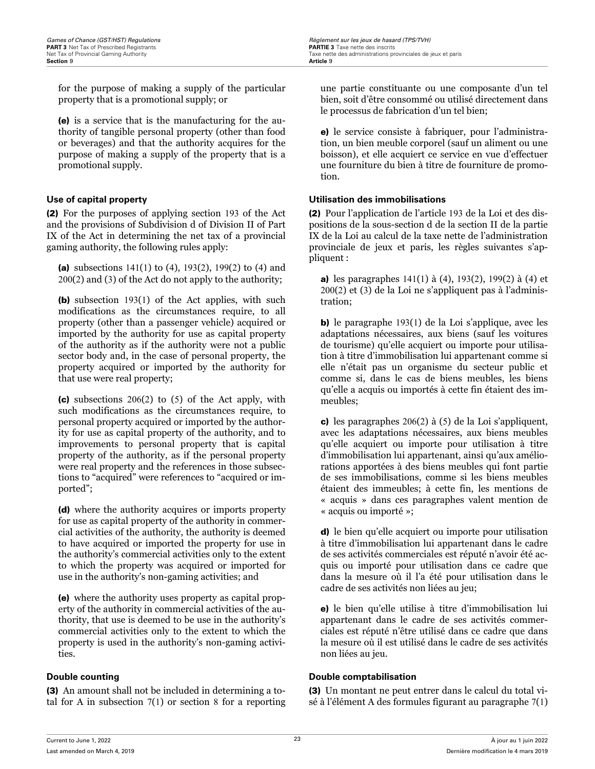**Games of Chance (GST/HST) Regulations** *R***egulations Regulations Regularity Regularity Regularity Regularity Regularity Regularity Regularity PARTIF 3 Taxe nette des inscrits <b>PARTIF 3** Taxe nette des inscrits Net Tax of Provincial Gaming Authority **Taxe nette des administrations provinciales de jeux et paris**<br> **Section 9**<br> **Article 9** 

for the purpose of making a supply of the particular property that is a promotional supply; or

(e) is a service that is the manufacturing for the authority of tangible personal property (other than food or beverages) and that the authority acquires for the purpose of making a supply of the property that is a promotional supply.

(2) For the purposes of applying section 193 of the Act and the provisions of Subdivision d of Division II of Part IX of the Act in determining the net tax of a provincial gaming authority, the following rules apply:

(a) subsections  $141(1)$  to (4),  $193(2)$ ,  $199(2)$  to (4) and 200(2) and (3) of the Act do not apply to the authority;

(b) subsection 193(1) of the Act applies, with such modifications as the circumstances require, to all property (other than a passenger vehicle) acquired or imported by the authority for use as capital property of the authority as if the authority were not a public sector body and, in the case of personal property, the property acquired or imported by the authority for that use were real property;

(c) subsections 206(2) to (5) of the Act apply, with such modifications as the circumstances require, to personal property acquired or imported by the authority for use as capital property of the authority, and to improvements to personal property that is capital property of the authority, as if the personal property were real property and the references in those subsections to "acquired" were references to "acquired or imported";

(d) where the authority acquires or imports property for use as capital property of the authority in commercial activities of the authority, the authority is deemed to have acquired or imported the property for use in the authority's commercial activities only to the extent to which the property was acquired or imported for use in the authority's non-gaming activities; and

(e) where the authority uses property as capital property of the authority in commercial activities of the authority, that use is deemed to be use in the authority's commercial activities only to the extent to which the property is used in the authority's non-gaming activities.

(3) An amount shall not be included in determining a total for A in subsection  $7(1)$  or section 8 for a reporting

une partie constituante ou une composante d'un tel bien, soit d'être consommé ou utilisé directement dans le processus de fabrication d'un tel bien;

e) le service consiste à fabriquer, pour l'administration, un bien meuble corporel (sauf un aliment ou une boisson), et elle acquiert ce service en vue d'effectuer une fourniture du bien à titre de fourniture de promotion.

### **Use of capital property Utilisation des immobilisations**

(2) Pour l'application de l'article 193 de la Loi et des dispositions de la sous-section d de la section II de la partie IX de la Loi au calcul de la taxe nette de l'administration provinciale de jeux et paris, les règles suivantes s'appliquent :

a) les paragraphes 141(1) à (4), 193(2), 199(2) à (4) et 200(2) et (3) de la Loi ne s'appliquent pas à l'administration;

b) le paragraphe 193(1) de la Loi s'applique, avec les adaptations nécessaires, aux biens (sauf les voitures de tourisme) qu'elle acquiert ou importe pour utilisation à titre d'immobilisation lui appartenant comme si elle n'était pas un organisme du secteur public et comme si, dans le cas de biens meubles, les biens qu'elle a acquis ou importés à cette fin étaient des immeubles;

c) les paragraphes 206(2) à (5) de la Loi s'appliquent, avec les adaptations nécessaires, aux biens meubles qu'elle acquiert ou importe pour utilisation à titre d'immobilisation lui appartenant, ainsi qu'aux améliorations apportées à des biens meubles qui font partie de ses immobilisations, comme si les biens meubles étaient des immeubles; à cette fin, les mentions de « acquis » dans ces paragraphes valent mention de « acquis ou importé »;

d) le bien qu'elle acquiert ou importe pour utilisation à titre d'immobilisation lui appartenant dans le cadre de ses activités commerciales est réputé n'avoir été acquis ou importé pour utilisation dans ce cadre que dans la mesure où il l'a été pour utilisation dans le cadre de ses activités non liées au jeu;

e) le bien qu'elle utilise à titre d'immobilisation lui appartenant dans le cadre de ses activités commerciales est réputé n'être utilisé dans ce cadre que dans la mesure où il est utilisé dans le cadre de ses activités non liées au jeu.

### **Double counting the comptabilisation Double comptabilisation**

(3) Un montant ne peut entrer dans le calcul du total visé à l'élément A des formules figurant au paragraphe 7(1)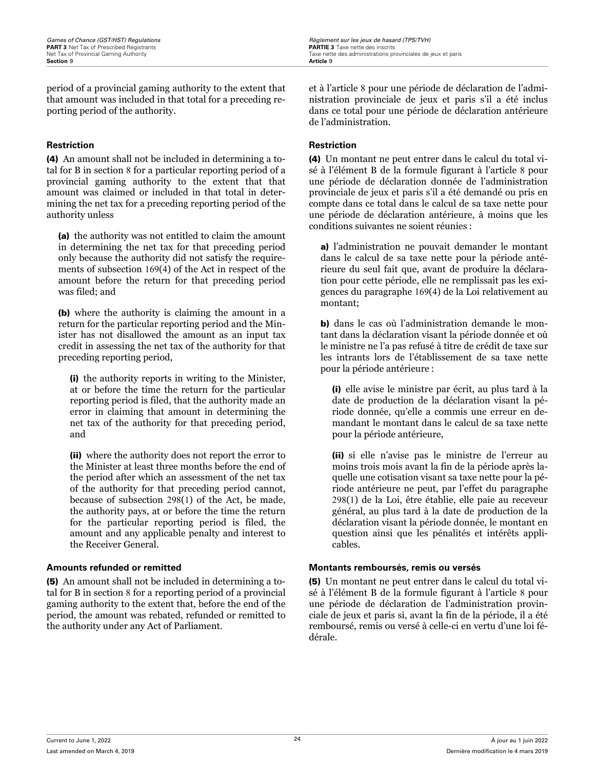period of a provincial gaming authority to the extent that that amount was included in that total for a preceding reporting period of the authority.

### **Restriction Restriction**

(4) An amount shall not be included in determining a total for B in section 8 for a particular reporting period of a provincial gaming authority to the extent that that amount was claimed or included in that total in determining the net tax for a preceding reporting period of the authority unless

(a) the authority was not entitled to claim the amount in determining the net tax for that preceding period only because the authority did not satisfy the requirements of subsection 169(4) of the Act in respect of the amount before the return for that preceding period was filed; and

(b) where the authority is claiming the amount in a return for the particular reporting period and the Minister has not disallowed the amount as an input tax credit in assessing the net tax of the authority for that preceding reporting period,

(i) the authority reports in writing to the Minister, at or before the time the return for the particular reporting period is filed, that the authority made an error in claiming that amount in determining the net tax of the authority for that preceding period, and

(ii) where the authority does not report the error to the Minister at least three months before the end of the period after which an assessment of the net tax of the authority for that preceding period cannot, because of subsection 298(1) of the Act, be made, the authority pays, at or before the time the return for the particular reporting period is filed, the amount and any applicable penalty and interest to the Receiver General.

(5) An amount shall not be included in determining a total for B in section 8 for a reporting period of a provincial gaming authority to the extent that, before the end of the period, the amount was rebated, refunded or remitted to the authority under any Act of Parliament.

et à l'article 8 pour une période de déclaration de l'administration provinciale de jeux et paris s'il a été inclus dans ce total pour une période de déclaration antérieure de l'administration.

(4) Un montant ne peut entrer dans le calcul du total visé à l'élément B de la formule figurant à l'article 8 pour une période de déclaration donnée de l'administration provinciale de jeux et paris s'il a été demandé ou pris en compte dans ce total dans le calcul de sa taxe nette pour une période de déclaration antérieure, à moins que les conditions suivantes ne soient réunies :

a) l'administration ne pouvait demander le montant dans le calcul de sa taxe nette pour la période antérieure du seul fait que, avant de produire la déclaration pour cette période, elle ne remplissait pas les exigences du paragraphe 169(4) de la Loi relativement au montant;

b) dans le cas où l'administration demande le montant dans la déclaration visant la période donnée et où le ministre ne l'a pas refusé à titre de crédit de taxe sur les intrants lors de l'établissement de sa taxe nette pour la période antérieure :

(i) elle avise le ministre par écrit, au plus tard à la date de production de la déclaration visant la période donnée, qu'elle a commis une erreur en demandant le montant dans le calcul de sa taxe nette pour la période antérieure,

(ii) si elle n'avise pas le ministre de l'erreur au moins trois mois avant la fin de la période après laquelle une cotisation visant sa taxe nette pour la période antérieure ne peut, par l'effet du paragraphe 298(1) de la Loi, être établie, elle paie au receveur général, au plus tard à la date de production de la déclaration visant la période donnée, le montant en question ainsi que les pénalités et intérêts applicables.

### **Amounts refunded or remitted Montants remboursés, remis ou versés**

(5) Un montant ne peut entrer dans le calcul du total visé à l'élément B de la formule figurant à l'article 8 pour une période de déclaration de l'administration provinciale de jeux et paris si, avant la fin de la période, il a été remboursé, remis ou versé à celle-ci en vertu d'une loi fédérale.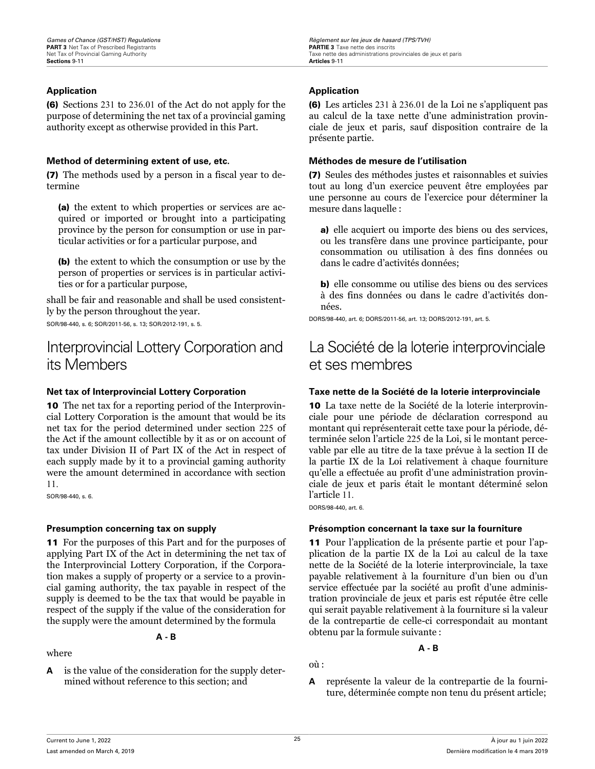### <span id="page-29-0"></span>**Application Application**

(6) Sections 231 to 236.01 of the Act do not apply for the purpose of determining the net tax of a provincial gaming authority except as otherwise provided in this Part.

#### **Method of determining extent of use, etc. Méthodes de mesure de l'utilisation**

(7) The methods used by a person in a fiscal year to determine

(a) the extent to which properties or services are acquired or imported or brought into a participating province by the person for consumption or use in particular activities or for a particular purpose, and

(b) the extent to which the consumption or use by the person of properties or services is in particular activities or for a particular purpose,

shall be fair and reasonable and shall be used consistently by the person throughout the year.

SOR/98-440, s. 6; SOR/2011-56, s. 13; SOR/2012-191, s. 5.

## Interprovincial Lottery Corporation and its Members

10 The net tax for a reporting period of the Interprovincial Lottery Corporation is the amount that would be its net tax for the period determined under section 225 of the Act if the amount collectible by it as or on account of tax under Division II of Part IX of the Act in respect of each supply made by it to a provincial gaming authority were the amount determined in accordance with section 11.

SOR/98-440, s. 6.

11 For the purposes of this Part and for the purposes of applying Part IX of the Act in determining the net tax of the Interprovincial Lottery Corporation, if the Corporation makes a supply of property or a service to a provincial gaming authority, the tax payable in respect of the supply is deemed to be the tax that would be payable in respect of the supply if the value of the consideration for the supply were the amount determined by the formula

#### **A - B**

### where

**A** is the value of the consideration for the supply determined without reference to this section; and

(6) Les articles 231 à 236.01 de la Loi ne s'appliquent pas au calcul de la taxe nette d'une administration provinciale de jeux et paris, sauf disposition contraire de la présente partie.

(7) Seules des méthodes justes et raisonnables et suivies tout au long d'un exercice peuvent être employées par une personne au cours de l'exercice pour déterminer la mesure dans laquelle :

a) elle acquiert ou importe des biens ou des services, ou les transfère dans une province participante, pour consommation ou utilisation à des fins données ou dans le cadre d'activités données;

b) elle consomme ou utilise des biens ou des services à des fins données ou dans le cadre d'activités données.

DORS/98-440, art. 6; DORS/2011-56, art. 13; DORS/2012-191, art. 5.

# La Société de la loterie interprovinciale et ses membres

### **Net tax of Interprovincial Lottery Corporation Taxe nette de la Société de la loterie interprovinciale**

10 La taxe nette de la Société de la loterie interprovinciale pour une période de déclaration correspond au montant qui représenterait cette taxe pour la période, déterminée selon l'article 225 de la Loi, si le montant percevable par elle au titre de la taxe prévue à la section II de la partie IX de la Loi relativement à chaque fourniture qu'elle a effectuée au profit d'une administration provinciale de jeux et paris était le montant déterminé selon l'article 11.

DORS/98-440, art. 6.

### **Presumption concerning tax on supply Présomption concernant la taxe sur la fourniture**

11 Pour l'application de la présente partie et pour l'application de la partie IX de la Loi au calcul de la taxe nette de la Société de la loterie interprovinciale, la taxe payable relativement à la fourniture d'un bien ou d'un service effectuée par la société au profit d'une administration provinciale de jeux et paris est réputée être celle qui serait payable relativement à la fourniture si la valeur de la contrepartie de celle-ci correspondait au montant obtenu par la formule suivante :

### **A - B**

où :

**A** représente la valeur de la contrepartie de la fourniture, déterminée compte non tenu du présent article;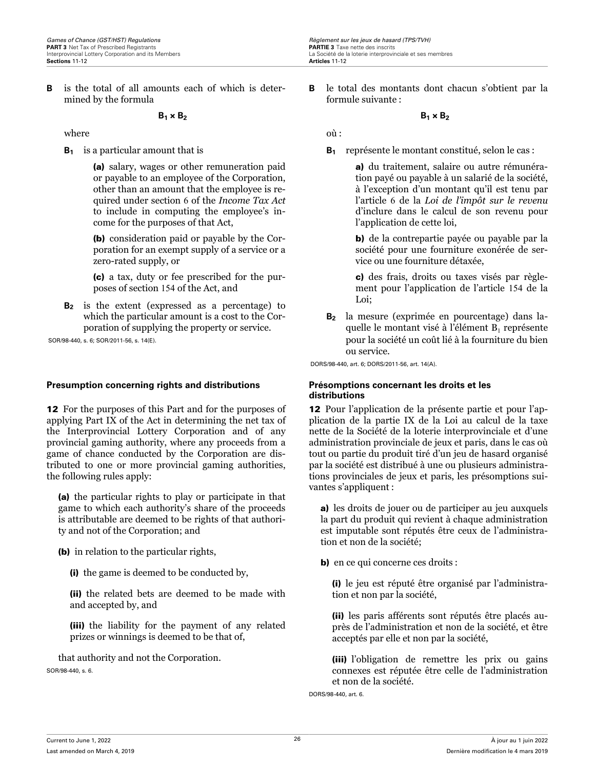<span id="page-30-0"></span>**B** is the total of all amounts each of which is determined by the formula

### $B_1 \times B_2$

where

**B<sup>1</sup>** is a particular amount that is

(a) salary, wages or other remuneration paid or payable to an employee of the Corporation, other than an amount that the employee is required under section 6 of the *Income Tax Act* to include in computing the employee's income for the purposes of that Act,

(b) consideration paid or payable by the Corporation for an exempt supply of a service or a zero-rated supply, or

(c) a tax, duty or fee prescribed for the purposes of section 154 of the Act, and

**B<sup>2</sup>** is the extent (expressed as a percentage) to which the particular amount is a cost to the Corporation of supplying the property or service.

SOR/98-440, s. 6; SOR/2011-56, s. 14(E).

### **Presumption concerning rights and distributions Présomptions concernant les droits et les**

12 For the purposes of this Part and for the purposes of applying Part IX of the Act in determining the net tax of the Interprovincial Lottery Corporation and of any provincial gaming authority, where any proceeds from a game of chance conducted by the Corporation are distributed to one or more provincial gaming authorities, the following rules apply:

(a) the particular rights to play or participate in that game to which each authority's share of the proceeds is attributable are deemed to be rights of that authority and not of the Corporation; and

(b) in relation to the particular rights,

(i) the game is deemed to be conducted by,

(ii) the related bets are deemed to be made with and accepted by, and

(iii) the liability for the payment of any related prizes or winnings is deemed to be that of,

that authority and not the Corporation. SOR/98-440, s. 6.

**B** le total des montants dont chacun s'obtient par la formule suivante :

 $B_1 \times B_2$ 

où :

**B<sup>1</sup>** représente le montant constitué, selon le cas :

a) du traitement, salaire ou autre rémunération payé ou payable à un salarié de la société, à l'exception d'un montant qu'il est tenu par l'article 6 de la *Loi de l'impôt sur le revenu* d'inclure dans le calcul de son revenu pour l'application de cette loi,

b) de la contrepartie payée ou payable par la société pour une fourniture exonérée de service ou une fourniture détaxée,

c) des frais, droits ou taxes visés par règlement pour l'application de l'article 154 de la Loi;

**B<sup>2</sup>** la mesure (exprimée en pourcentage) dans laquelle le montant visé à l'élément  $B_1$  représente pour la société un coût lié à la fourniture du bien ou service.

DORS/98-440, art. 6; DORS/2011-56, art. 14(A).

# **distributions**

12 Pour l'application de la présente partie et pour l'application de la partie IX de la Loi au calcul de la taxe nette de la Société de la loterie interprovinciale et d'une administration provinciale de jeux et paris, dans le cas où tout ou partie du produit tiré d'un jeu de hasard organisé par la société est distribué à une ou plusieurs administrations provinciales de jeux et paris, les présomptions suivantes s'appliquent :

a) les droits de jouer ou de participer au jeu auxquels la part du produit qui revient à chaque administration est imputable sont réputés être ceux de l'administration et non de la société;

b) en ce qui concerne ces droits :

(i) le jeu est réputé être organisé par l'administration et non par la société,

(ii) les paris afférents sont réputés être placés auprès de l'administration et non de la société, et être acceptés par elle et non par la société,

(iii) l'obligation de remettre les prix ou gains connexes est réputée être celle de l'administration et non de la société.

DORS/98-440, art. 6.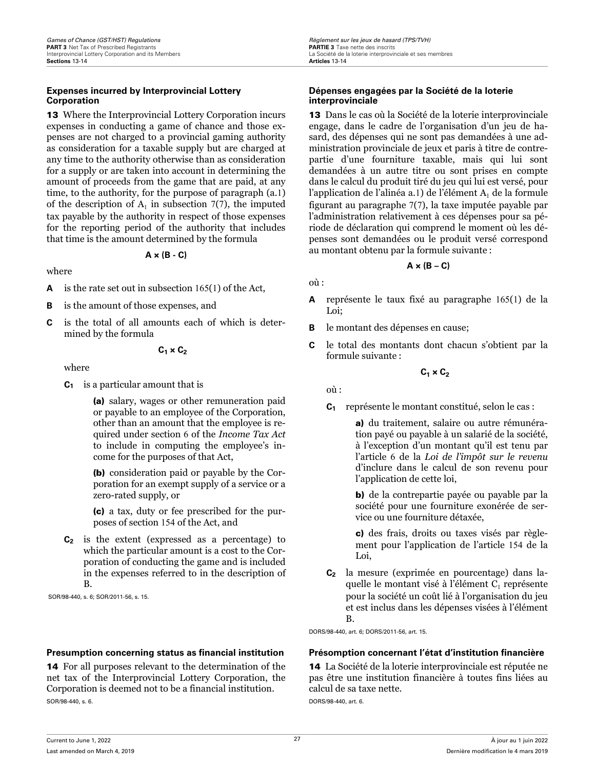### <span id="page-31-0"></span>**Expenses incurred by Interprovincial Lottery Corporation**

13 Where the Interprovincial Lottery Corporation incurs expenses in conducting a game of chance and those expenses are not charged to a provincial gaming authority as consideration for a taxable supply but are charged at any time to the authority otherwise than as consideration for a supply or are taken into account in determining the amount of proceeds from the game that are paid, at any time, to the authority, for the purpose of paragraph (a.1) of the description of  $A_1$  in subsection 7(7), the imputed tax payable by the authority in respect of those expenses for the reporting period of the authority that includes that time is the amount determined by the formula

#### **A × (B - C)**

#### where

- **A** is the rate set out in subsection 165(1) of the Act,
- **B** is the amount of those expenses, and
- **C** is the total of all amounts each of which is determined by the formula

#### $C_1 \times C_2$

where

**C<sup>1</sup>** is a particular amount that is

(a) salary, wages or other remuneration paid or payable to an employee of the Corporation, other than an amount that the employee is required under section 6 of the *Income Tax Act* to include in computing the employee's income for the purposes of that Act,

(b) consideration paid or payable by the Corporation for an exempt supply of a service or a zero-rated supply, or

(c) a tax, duty or fee prescribed for the purposes of section 154 of the Act, and

**C<sup>2</sup>** is the extent (expressed as a percentage) to which the particular amount is a cost to the Corporation of conducting the game and is included in the expenses referred to in the description of B.

SOR/98-440, s. 6; SOR/2011-56, s. 15.

14 For all purposes relevant to the determination of the net tax of the Interprovincial Lottery Corporation, the Corporation is deemed not to be a financial institution. SOR/98-440, s. 6.

#### **Dépenses engagées par la Société de la loterie interprovinciale**

13 Dans le cas où la Société de la loterie interprovinciale engage, dans le cadre de l'organisation d'un jeu de hasard, des dépenses qui ne sont pas demandées à une administration provinciale de jeux et paris à titre de contrepartie d'une fourniture taxable, mais qui lui sont demandées à un autre titre ou sont prises en compte dans le calcul du produit tiré du jeu qui lui est versé, pour l'application de l'alinéa a.1) de l'élément  $\rm A_{1}$  de la formule figurant au paragraphe 7(7), la taxe imputée payable par l'administration relativement à ces dépenses pour sa période de déclaration qui comprend le moment où les dépenses sont demandées ou le produit versé correspond au montant obtenu par la formule suivante :

### $A \times (B - C)$

### où :

- **A** représente le taux fixé au paragraphe 165(1) de la Loi;
- **B** le montant des dépenses en cause;
- **C** le total des montants dont chacun s'obtient par la formule suivante :

### **C1 × C<sup>2</sup>**

où :

**C<sup>1</sup>** représente le montant constitué, selon le cas :

a) du traitement, salaire ou autre rémunération payé ou payable à un salarié de la société, à l'exception d'un montant qu'il est tenu par l'article 6 de la *Loi de l'impôt sur le revenu* d'inclure dans le calcul de son revenu pour l'application de cette loi,

b) de la contrepartie payée ou payable par la société pour une fourniture exonérée de service ou une fourniture détaxée,

c) des frais, droits ou taxes visés par règlement pour l'application de l'article 154 de la Loi,

**C<sup>2</sup>** la mesure (exprimée en pourcentage) dans laquelle le montant visé à l'élément  $C_1$  représente pour la société un coût lié à l'organisation du jeu et est inclus dans les dépenses visées à l'élément B.

DORS/98-440, art. 6; DORS/2011-56, art. 15.

### **Presumption concerning status as financial institution Présomption concernant l'état d'institution financière**

14 La Société de la loterie interprovinciale est réputée ne pas être une institution financière à toutes fins liées au calcul de sa taxe nette. DORS/98-440, art. 6.

Current to June 1, 2022 Last amended on March 4, 2019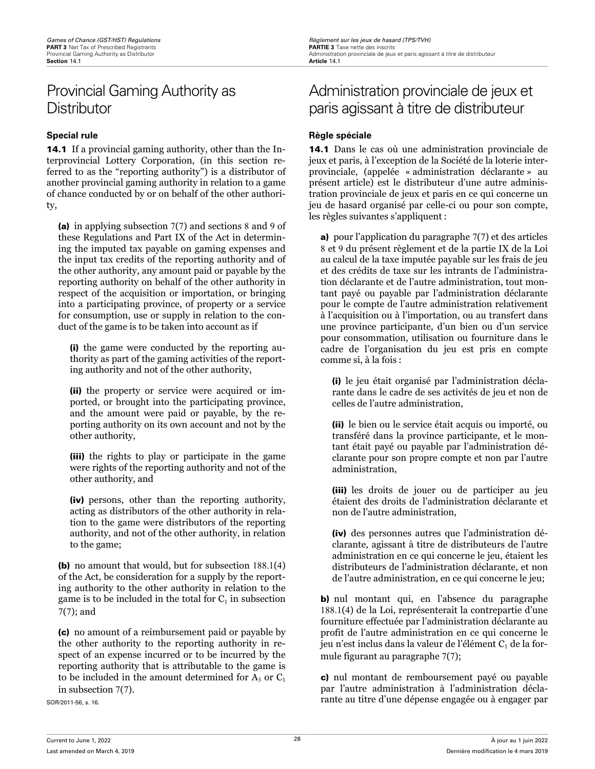# <span id="page-32-0"></span>Provincial Gaming Authority as **Distributor**

14.1 If a provincial gaming authority, other than the Interprovincial Lottery Corporation, (in this section referred to as the "reporting authority") is a distributor of another provincial gaming authority in relation to a game of chance conducted by or on behalf of the other authority,

(a) in applying subsection 7(7) and sections 8 and 9 of these Regulations and Part IX of the Act in determining the imputed tax payable on gaming expenses and the input tax credits of the reporting authority and of the other authority, any amount paid or payable by the reporting authority on behalf of the other authority in respect of the acquisition or importation, or bringing into a participating province, of property or a service for consumption, use or supply in relation to the conduct of the game is to be taken into account as if

(i) the game were conducted by the reporting authority as part of the gaming activities of the reporting authority and not of the other authority,

(ii) the property or service were acquired or imported, or brought into the participating province, and the amount were paid or payable, by the reporting authority on its own account and not by the other authority,

(iii) the rights to play or participate in the game were rights of the reporting authority and not of the other authority, and

(iv) persons, other than the reporting authority, acting as distributors of the other authority in relation to the game were distributors of the reporting authority, and not of the other authority, in relation to the game;

(b) no amount that would, but for subsection 188.1(4) of the Act, be consideration for a supply by the reporting authority to the other authority in relation to the game is to be included in the total for  $\mathrm{C}_1$  in subsection 7(7); and

(c) no amount of a reimbursement paid or payable by the other authority to the reporting authority in respect of an expense incurred or to be incurred by the reporting authority that is attributable to the game is to be included in the amount determined for  $A_3$  or  $C_1$ in subsection 7(7).

SOR/2011-56, s. 16.

# Administration provinciale de jeux et paris agissant à titre de distributeur

## **Special rule Règle spéciale**

14.1 Dans le cas où une administration provinciale de jeux et paris, à l'exception de la Société de la loterie interprovinciale, (appelée « administration déclarante » au présent article) est le distributeur d'une autre administration provinciale de jeux et paris en ce qui concerne un jeu de hasard organisé par celle-ci ou pour son compte, les règles suivantes s'appliquent :

a) pour l'application du paragraphe 7(7) et des articles 8 et 9 du présent règlement et de la partie IX de la Loi au calcul de la taxe imputée payable sur les frais de jeu et des crédits de taxe sur les intrants de l'administration déclarante et de l'autre administration, tout montant payé ou payable par l'administration déclarante pour le compte de l'autre administration relativement à l'acquisition ou à l'importation, ou au transfert dans une province participante, d'un bien ou d'un service pour consommation, utilisation ou fourniture dans le cadre de l'organisation du jeu est pris en compte comme si, à la fois :

(i) le jeu était organisé par l'administration déclarante dans le cadre de ses activités de jeu et non de celles de l'autre administration,

(ii) le bien ou le service était acquis ou importé, ou transféré dans la province participante, et le montant était payé ou payable par l'administration déclarante pour son propre compte et non par l'autre administration,

(iii) les droits de jouer ou de participer au jeu étaient des droits de l'administration déclarante et non de l'autre administration,

(iv) des personnes autres que l'administration déclarante, agissant à titre de distributeurs de l'autre administration en ce qui concerne le jeu, étaient les distributeurs de l'administration déclarante, et non de l'autre administration, en ce qui concerne le jeu;

b) nul montant qui, en l'absence du paragraphe 188.1(4) de la Loi, représenterait la contrepartie d'une fourniture effectuée par l'administration déclarante au profit de l'autre administration en ce qui concerne le jeu n'est inclus dans la valeur de l'élément  $\mathrm{C}_1$  de la formule figurant au paragraphe 7(7);

c) nul montant de remboursement payé ou payable par l'autre administration à l'administration déclarante au titre d'une dépense engagée ou à engager par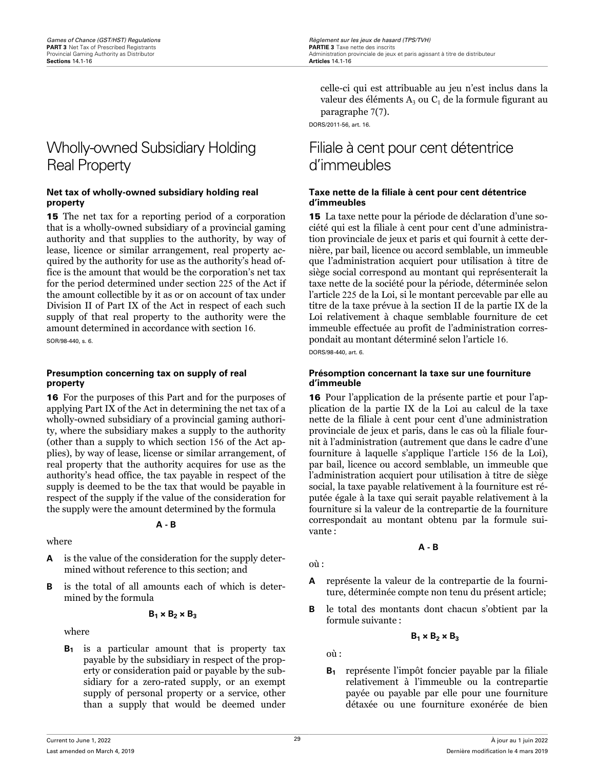# <span id="page-33-0"></span>Wholly-owned Subsidiary Holding Real Property

#### **Net tax of wholly-owned subsidiary holding real property**

15 The net tax for a reporting period of a corporation that is a wholly-owned subsidiary of a provincial gaming authority and that supplies to the authority, by way of lease, licence or similar arrangement, real property acquired by the authority for use as the authority's head office is the amount that would be the corporation's net tax for the period determined under section 225 of the Act if the amount collectible by it as or on account of tax under Division II of Part IX of the Act in respect of each such supply of that real property to the authority were the amount determined in accordance with section 16. SOR/98-440, s. 6.

#### **Presumption concerning tax on supply of real property**

16 For the purposes of this Part and for the purposes of applying Part IX of the Act in determining the net tax of a wholly-owned subsidiary of a provincial gaming authority, where the subsidiary makes a supply to the authority (other than a supply to which section 156 of the Act applies), by way of lease, license or similar arrangement, of real property that the authority acquires for use as the authority's head office, the tax payable in respect of the supply is deemed to be the tax that would be payable in respect of the supply if the value of the consideration for the supply were the amount determined by the formula

### **A - B**

### where

- **A** is the value of the consideration for the supply determined without reference to this section; and
- **B** is the total of all amounts each of which is determined by the formula

$$
B_1 \times B_2 \times B_3
$$

where

**B<sup>1</sup>** is a particular amount that is property tax payable by the subsidiary in respect of the property or consideration paid or payable by the subsidiary for a zero-rated supply, or an exempt supply of personal property or a service, other than a supply that would be deemed under

celle-ci qui est attribuable au jeu n'est inclus dans la valeur des éléments  $A_3$  ou  $C_1$  de la formule figurant au paragraphe 7(7).

DORS/2011-56, art. 16.

# Filiale à cent pour cent détentrice d'immeubles

### **Taxe nette de la filiale à cent pour cent détentrice d'immeubles**

15 La taxe nette pour la période de déclaration d'une société qui est la filiale à cent pour cent d'une administration provinciale de jeux et paris et qui fournit à cette dernière, par bail, licence ou accord semblable, un immeuble que l'administration acquiert pour utilisation à titre de siège social correspond au montant qui représenterait la taxe nette de la société pour la période, déterminée selon l'article 225 de la Loi, si le montant percevable par elle au titre de la taxe prévue à la section II de la partie IX de la Loi relativement à chaque semblable fourniture de cet immeuble effectuée au profit de l'administration correspondait au montant déterminé selon l'article 16. DORS/98-440, art. 6.

#### **Présomption concernant la taxe sur une fourniture d'immeuble**

16 Pour l'application de la présente partie et pour l'application de la partie IX de la Loi au calcul de la taxe nette de la filiale à cent pour cent d'une administration provinciale de jeux et paris, dans le cas où la filiale fournit à l'administration (autrement que dans le cadre d'une fourniture à laquelle s'applique l'article 156 de la Loi), par bail, licence ou accord semblable, un immeuble que l'administration acquiert pour utilisation à titre de siège social, la taxe payable relativement à la fourniture est réputée égale à la taxe qui serait payable relativement à la fourniture si la valeur de la contrepartie de la fourniture correspondait au montant obtenu par la formule suivante :

**A - B**

- **A** représente la valeur de la contrepartie de la fourniture, déterminée compte non tenu du présent article;
- **B** le total des montants dont chacun s'obtient par la formule suivante :

$$
B_1 \times B_2 \times B_3
$$

où :

où :

**B<sup>1</sup>** représente l'impôt foncier payable par la filiale relativement à l'immeuble ou la contrepartie payée ou payable par elle pour une fourniture détaxée ou une fourniture exonérée de bien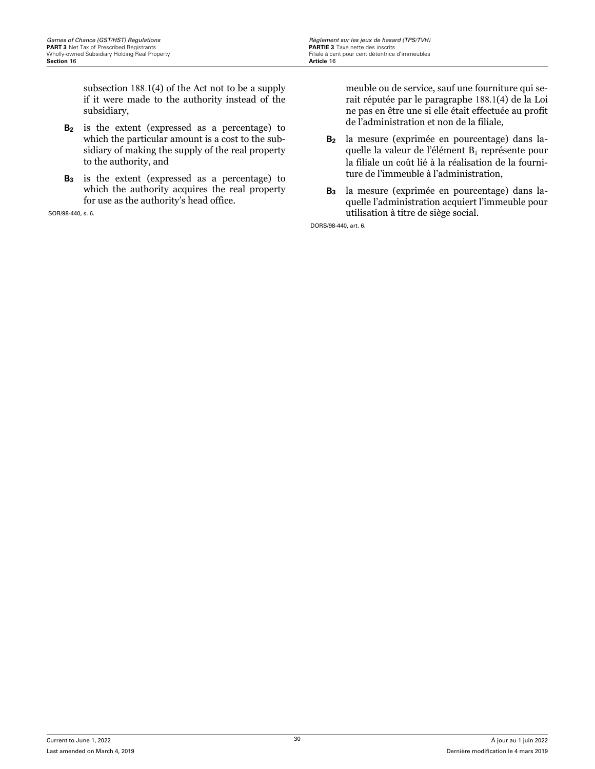subsection 188.1(4) of the Act not to be a supply if it were made to the authority instead of the subsidiary,

- **B<sup>2</sup>** is the extent (expressed as a percentage) to which the particular amount is a cost to the subsidiary of making the supply of the real property to the authority, and
- **B<sup>3</sup>** is the extent (expressed as a percentage) to which the authority acquires the real property for use as the authority's head office.

SOR/98-440, s. 6.

meuble ou de service, sauf une fourniture qui serait réputée par le paragraphe 188.1(4) de la Loi ne pas en être une si elle était effectuée au profit de l'administration et non de la filiale,

- **B<sup>2</sup>** la mesure (exprimée en pourcentage) dans laquelle la valeur de l'élément B<sub>1</sub> représente pour la filiale un coût lié à la réalisation de la fourniture de l'immeuble à l'administration,
- **B<sup>3</sup>** la mesure (exprimée en pourcentage) dans laquelle l'administration acquiert l'immeuble pour utilisation à titre de siège social.

DORS/98-440, art. 6.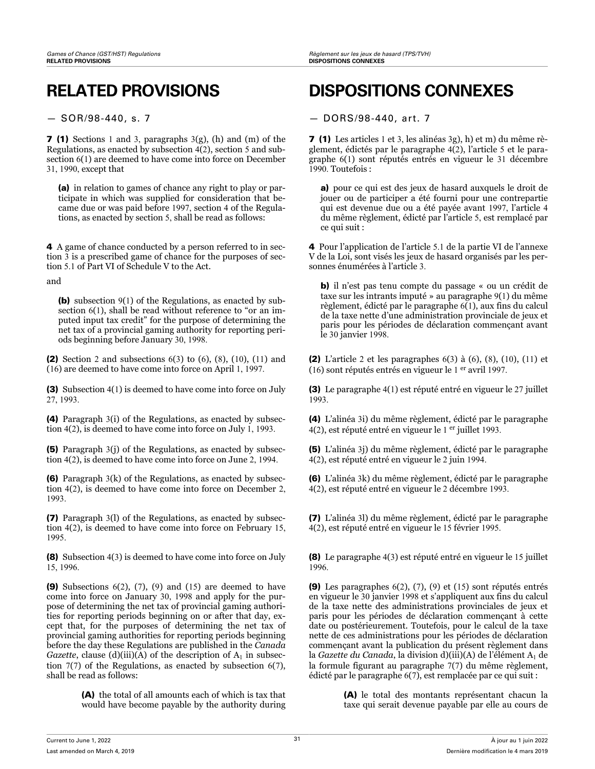7 (1) Sections 1 and 3, paragraphs 3(g), (h) and (m) of the Regulations, as enacted by subsection  $4(2)$ , section 5 and subsection 6(1) are deemed to have come into force on December 31, 1990, except that

(a) in relation to games of chance any right to play or participate in which was supplied for consideration that became due or was paid before 1997, section 4 of the Regulations, as enacted by section 5, shall be read as follows:

4 A game of chance conducted by a person referred to in section 3 is a prescribed game of chance for the purposes of section 5.1 of Part VI of Schedule V to the Act.

and

(b) subsection 9(1) of the Regulations, as enacted by subsection 6(1), shall be read without reference to "or an imputed input tax credit" for the purpose of determining the net tax of a provincial gaming authority for reporting periods beginning before January 30, 1998.

(2) Section 2 and subsections 6(3) to (6), (8), (10), (11) and (16) are deemed to have come into force on April 1, 1997.

(3) Subsection 4(1) is deemed to have come into force on July 27, 1993.

(4) Paragraph 3(i) of the Regulations, as enacted by subsection 4(2), is deemed to have come into force on July 1, 1993.

(5) Paragraph 3(j) of the Regulations, as enacted by subsection 4(2), is deemed to have come into force on June 2, 1994.

(6) Paragraph 3(k) of the Regulations, as enacted by subsection 4(2), is deemed to have come into force on December 2, 1993.

(7) Paragraph 3(l) of the Regulations, as enacted by subsection 4(2), is deemed to have come into force on February 15, 1995.

(8) Subsection 4(3) is deemed to have come into force on July 15, 1996.

(9) Subsections  $6(2)$ ,  $(7)$ ,  $(9)$  and  $(15)$  are deemed to have come into force on January 30, 1998 and apply for the purpose of determining the net tax of provincial gaming authorities for reporting periods beginning on or after that day, except that, for the purposes of determining the net tax of provincial gaming authorities for reporting periods beginning before the day these Regulations are published in the *Canada Gazette*, clause (d)(iii)(A) of the description of  $A_1$  in subsection 7(7) of the Regulations, as enacted by subsection 6(7), shall be read as follows:

> (A) the total of all amounts each of which is tax that would have become payable by the authority during

# **RELATED PROVISIONS DISPOSITIONS CONNEXES**

— SOR/98-440, s. 7 — DORS/98-440, art. 7

7 (1) Les articles 1 et 3, les alinéas 3g), h) et m) du même règlement, édictés par le paragraphe 4(2), l'article 5 et le paragraphe 6(1) sont réputés entrés en vigueur le 31 décembre 1990. Toutefois :

a) pour ce qui est des jeux de hasard auxquels le droit de jouer ou de participer a été fourni pour une contrepartie qui est devenue due ou a été payée avant 1997, l'article 4 du même règlement, édicté par l'article 5, est remplacé par ce qui suit :

4 Pour l'application de l'article 5.1 de la partie VI de l'annexe V de la Loi, sont visés les jeux de hasard organisés par les personnes énumérées à l'article 3.

b) il n'est pas tenu compte du passage « ou un crédit de taxe sur les intrants imputé » au paragraphe 9(1) du même règlement, édicté par le paragraphe 6(1), aux fins du calcul de la taxe nette d'une administration provinciale de jeux et paris pour les périodes de déclaration commençant avant le 30 janvier 1998.

(2) L'article 2 et les paragraphes 6(3) à (6), (8), (10), (11) et (16) sont réputés entrés en vigueur le 1 er avril 1997.

(3) Le paragraphe 4(1) est réputé entré en vigueur le 27 juillet 1993.

(4) L'alinéa 3i) du même règlement, édicté par le paragraphe 4(2), est réputé entré en vigueur le 1 <sup>er</sup> juillet 1993.

(5) L'alinéa 3j) du même règlement, édicté par le paragraphe 4(2), est réputé entré en vigueur le 2 juin 1994.

(6) L'alinéa 3k) du même règlement, édicté par le paragraphe 4(2), est réputé entré en vigueur le 2 décembre 1993.

(7) L'alinéa 3l) du même règlement, édicté par le paragraphe 4(2), est réputé entré en vigueur le 15 février 1995.

(8) Le paragraphe 4(3) est réputé entré en vigueur le 15 juillet 1996.

(9) Les paragraphes 6(2), (7), (9) et (15) sont réputés entrés en vigueur le 30 janvier 1998 et s'appliquent aux fins du calcul de la taxe nette des administrations provinciales de jeux et paris pour les périodes de déclaration commençant à cette date ou postérieurement. Toutefois, pour le calcul de la taxe nette de ces administrations pour les périodes de déclaration commençant avant la publication du présent règlement dans la *Gazette du Canada*, la division d)(iii)(A) de l'élément A<sub>1</sub> de la formule figurant au paragraphe 7(7) du même règlement, édicté par le paragraphe 6(7), est remplacée par ce qui suit :

> (A) le total des montants représentant chacun la taxe qui serait devenue payable par elle au cours de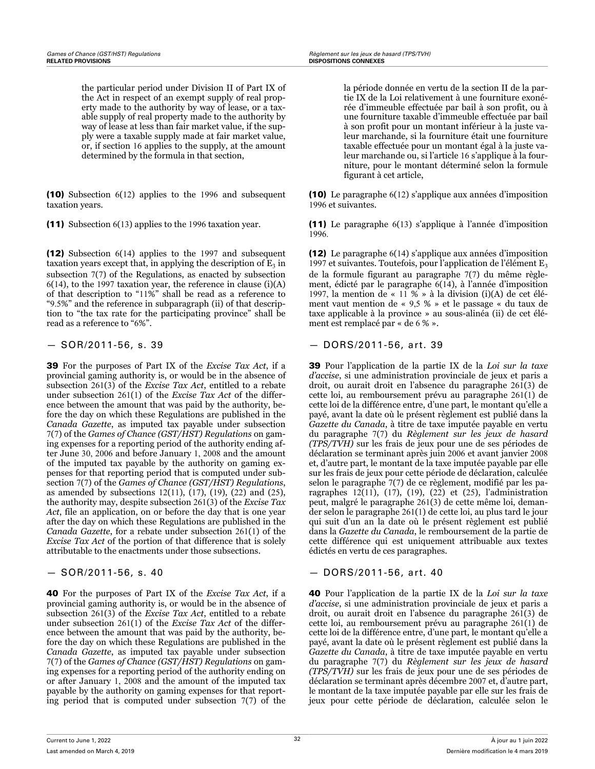the particular period under Division II of Part IX of the Act in respect of an exempt supply of real property made to the authority by way of lease, or a taxable supply of real property made to the authority by way of lease at less than fair market value, if the supply were a taxable supply made at fair market value, or, if section 16 applies to the supply, at the amount determined by the formula in that section,

(10) Subsection 6(12) applies to the 1996 and subsequent taxation years.

(12) Subsection 6(14) applies to the 1997 and subsequent taxation years except that, in applying the description of  $\mathrm{E}_3$  in subsection 7(7) of the Regulations, as enacted by subsection  $6(14)$ , to the 1997 taxation year, the reference in clause (i)(A) of that description to "11%" shall be read as a reference to "9.5%" and the reference in subparagraph (ii) of that description to "the tax rate for the participating province" shall be read as a reference to "6%".

39 For the purposes of Part IX of the *Excise Tax Act*, if a provincial gaming authority is, or would be in the absence of subsection 261(3) of the *Excise Tax Act*, entitled to a rebate under subsection 261(1) of the *Excise Tax Act* of the difference between the amount that was paid by the authority, before the day on which these Regulations are published in the *Canada Gazette*, as imputed tax payable under subsection 7(7) of the *Games of Chance (GST/HST) Regulations* on gaming expenses for a reporting period of the authority ending after June 30, 2006 and before January 1, 2008 and the amount of the imputed tax payable by the authority on gaming expenses for that reporting period that is computed under subsection 7(7) of the *Games of Chance (GST/HST) Regulations*, as amended by subsections 12(11), (17), (19), (22) and (25), the authority may, despite subsection 261(3) of the *Excise Tax Act*, file an application, on or before the day that is one year after the day on which these Regulations are published in the *Canada Gazette*, for a rebate under subsection 261(1) of the *Excise Tax Act* of the portion of that difference that is solely attributable to the enactments under those subsections.

40 For the purposes of Part IX of the *Excise Tax Act*, if a provincial gaming authority is, or would be in the absence of subsection 261(3) of the *Excise Tax Act*, entitled to a rebate under subsection 261(1) of the *Excise Tax Act* of the difference between the amount that was paid by the authority, before the day on which these Regulations are published in the *Canada Gazette*, as imputed tax payable under subsection 7(7) of the *Games of Chance (GST/HST) Regulations* on gaming expenses for a reporting period of the authority ending on or after January 1, 2008 and the amount of the imputed tax payable by the authority on gaming expenses for that reporting period that is computed under subsection 7(7) of the la période donnée en vertu de la section II de la partie IX de la Loi relativement à une fourniture exonérée d'immeuble effectuée par bail à son profit, ou à une fourniture taxable d'immeuble effectuée par bail à son profit pour un montant inférieur à la juste valeur marchande, si la fourniture était une fourniture taxable effectuée pour un montant égal à la juste valeur marchande ou, si l'article 16 s'applique à la fourniture, pour le montant déterminé selon la formule figurant à cet article,

(10) Le paragraphe 6(12) s'applique aux années d'imposition 1996 et suivantes.

(11) Subsection 6(13) applies to the 1996 taxation year. (11) Le paragraphe 6(13) s'applique à l'année d'imposition 1996.

> (12) Le paragraphe 6(14) s'applique aux années d'imposition 1997 et suivantes. Toutefois, pour l'application de l'élément  $E_3$ de la formule figurant au paragraphe 7(7) du même règlement, édicté par le paragraphe 6(14), à l'année d'imposition 1997, la mention de « 11 % » à la division (i)(A) de cet élément vaut mention de « 9,5 % » et le passage « du taux de taxe applicable à la province » au sous-alinéa (ii) de cet élément est remplacé par « de 6 % ».

### — SOR/2011-56, s. 39 — DORS/2011-56, art. 39

39 Pour l'application de la partie IX de la *Loi sur la taxe d'accise*, si une administration provinciale de jeux et paris a droit, ou aurait droit en l'absence du paragraphe 261(3) de cette loi, au remboursement prévu au paragraphe 261(1) de cette loi de la différence entre, d'une part, le montant qu'elle a payé, avant la date où le présent règlement est publié dans la *Gazette du Canada*, à titre de taxe imputée payable en vertu du paragraphe 7(7) du *Règlement sur les jeux de hasard (TPS/TVH)* sur les frais de jeux pour une de ses périodes de déclaration se terminant après juin 2006 et avant janvier 2008 et, d'autre part, le montant de la taxe imputée payable par elle sur les frais de jeux pour cette période de déclaration, calculée selon le paragraphe 7(7) de ce règlement, modifié par les paragraphes 12(11), (17), (19), (22) et (25), l'administration peut, malgré le paragraphe 261(3) de cette même loi, demander selon le paragraphe 261(1) de cette loi, au plus tard le jour qui suit d'un an la date où le présent règlement est publié dans la *Gazette du Canada*, le remboursement de la partie de cette différence qui est uniquement attribuable aux textes édictés en vertu de ces paragraphes.

### — SOR/2011-56, s. 40 — DORS/2011-56, art. 40

40 Pour l'application de la partie IX de la *Loi sur la taxe d'accise*, si une administration provinciale de jeux et paris a droit, ou aurait droit en l'absence du paragraphe 261(3) de cette loi, au remboursement prévu au paragraphe 261(1) de cette loi de la différence entre, d'une part, le montant qu'elle a payé, avant la date où le présent règlement est publié dans la *Gazette du Canada*, à titre de taxe imputée payable en vertu du paragraphe 7(7) du *Règlement sur les jeux de hasard (TPS/TVH)* sur les frais de jeux pour une de ses périodes de déclaration se terminant après décembre 2007 et, d'autre part, le montant de la taxe imputée payable par elle sur les frais de jeux pour cette période de déclaration, calculée selon le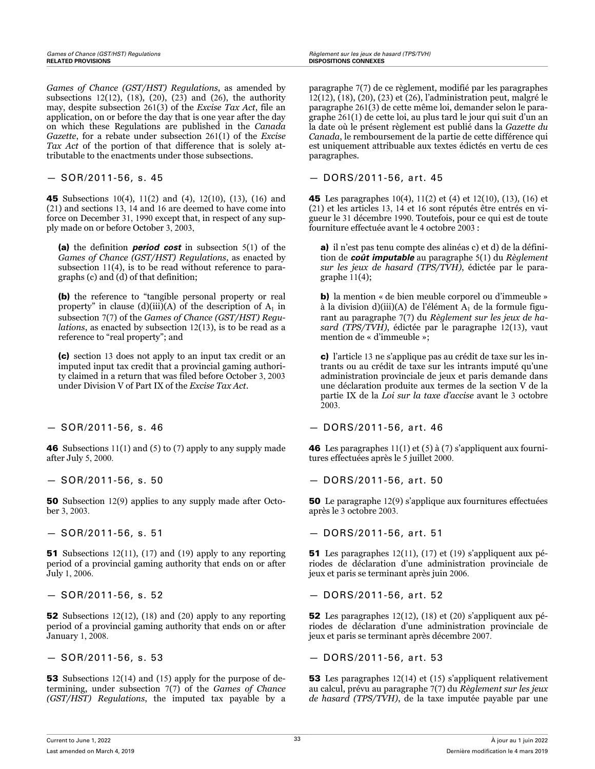*Games of Chance (GST/HST) Regulations*, as amended by subsections 12(12), (18), (20), (23) and (26), the authority may, despite subsection 261(3) of the *Excise Tax Act*, file an application, on or before the day that is one year after the day on which these Regulations are published in the *Canada Gazette*, for a rebate under subsection 261(1) of the *Excise Tax Act* of the portion of that difference that is solely attributable to the enactments under those subsections.

45 Subsections 10(4), 11(2) and (4), 12(10), (13), (16) and (21) and sections 13, 14 and 16 are deemed to have come into force on December 31, 1990 except that, in respect of any supply made on or before October 3, 2003,

(a) the definition *period cost* in subsection 5(1) of the *Games of Chance (GST/HST) Regulations*, as enacted by subsection 11(4), is to be read without reference to paragraphs (c) and (d) of that definition;

(b) the reference to "tangible personal property or real property" in clause (d)(iii)(A) of the description of  $A_1$  in subsection 7(7) of the *Games of Chance (GST/HST) Regulations*, as enacted by subsection 12(13), is to be read as a reference to "real property"; and

(c) section 13 does not apply to an input tax credit or an imputed input tax credit that a provincial gaming authority claimed in a return that was filed before October 3, 2003 under Division V of Part IX of the *Excise Tax Act*.

46 Subsections 11(1) and (5) to (7) apply to any supply made after July 5, 2000.

50 Subsection 12(9) applies to any supply made after October 3, 2003.

**51** Subsections 12(11), (17) and (19) apply to any reporting period of a provincial gaming authority that ends on or after July 1, 2006.

52 Subsections 12(12), (18) and (20) apply to any reporting period of a provincial gaming authority that ends on or after January 1, 2008.

**53** Subsections 12(14) and (15) apply for the purpose of determining, under subsection 7(7) of the *Games of Chance (GST/HST) Regulations*, the imputed tax payable by a

paragraphe 7(7) de ce règlement, modifié par les paragraphes 12(12), (18), (20), (23) et (26), l'administration peut, malgré le paragraphe 261(3) de cette même loi, demander selon le paragraphe 261(1) de cette loi, au plus tard le jour qui suit d'un an la date où le présent règlement est publié dans la *Gazette du Canada*, le remboursement de la partie de cette différence qui est uniquement attribuable aux textes édictés en vertu de ces paragraphes.

— SOR/2011-56, s. 45 — DORS/2011-56, art. 45

45 Les paragraphes 10(4), 11(2) et (4) et 12(10), (13), (16) et (21) et les articles 13, 14 et 16 sont réputés être entrés en vigueur le 31 décembre 1990. Toutefois, pour ce qui est de toute fourniture effectuée avant le 4 octobre 2003 :

a) il n'est pas tenu compte des alinéas c) et d) de la définition de *coût imputable* au paragraphe 5(1) du *Règlement sur les jeux de hasard (TPS/TVH)*, édictée par le paragraphe  $11(4)$ ;

b) la mention « de bien meuble corporel ou d'immeuble » à la division d)(iii)(A) de l'élément  $A_1$  de la formule figurant au paragraphe 7(7) du *Règlement sur les jeux de hasard (TPS/TVH)*, édictée par le paragraphe 12(13), vaut mention de « d'immeuble »;

c) l'article 13 ne s'applique pas au crédit de taxe sur les intrants ou au crédit de taxe sur les intrants imputé qu'une administration provinciale de jeux et paris demande dans une déclaration produite aux termes de la section V de la partie IX de la *Loi sur la taxe d'accise* avant le 3 octobre 2003.

— SOR/2011-56, s. 46 — DORS/2011-56, art. 46

46 Les paragraphes 11(1) et (5) à (7) s'appliquent aux fournitures effectuées après le 5 juillet 2000.

— SOR/2011-56, s. 50 — DORS/2011-56, art. 50

50 Le paragraphe 12(9) s'applique aux fournitures effectuées après le 3 octobre 2003.

— SOR/2011-56, s. 51 — DORS/2011-56, art. 51

51 Les paragraphes 12(11), (17) et (19) s'appliquent aux périodes de déclaration d'une administration provinciale de jeux et paris se terminant après juin 2006.

— SOR/2011-56, s. 52 — DORS/2011-56, art. 52

52 Les paragraphes 12(12), (18) et (20) s'appliquent aux périodes de déclaration d'une administration provinciale de jeux et paris se terminant après décembre 2007.

— SOR/2011-56, s. 53 — DORS/2011-56, art. 53

53 Les paragraphes 12(14) et (15) s'appliquent relativement au calcul, prévu au paragraphe 7(7) du *Règlement sur les jeux de hasard (TPS/TVH)*, de la taxe imputée payable par une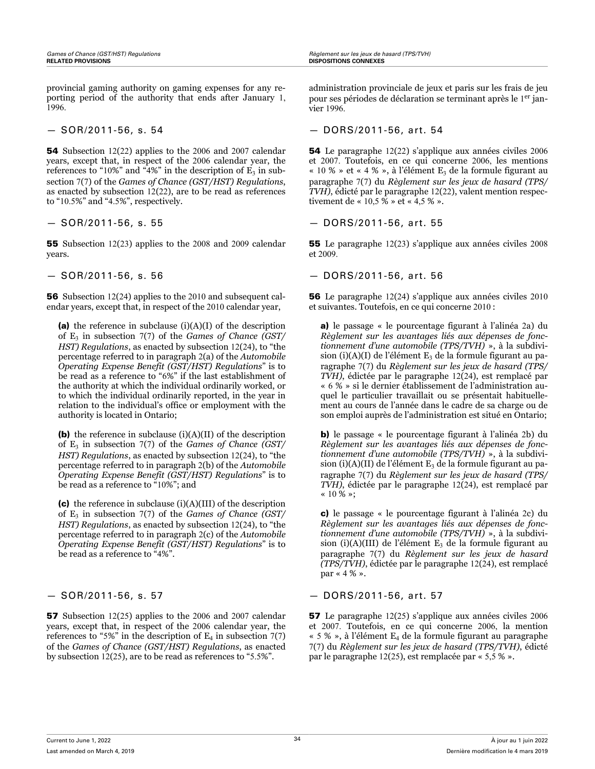provincial gaming authority on gaming expenses for any reporting period of the authority that ends after January 1, 1996.

54 Subsection 12(22) applies to the 2006 and 2007 calendar years, except that, in respect of the 2006 calendar year, the references to "10%" and "4%" in the description of  $E_3$  in subsection 7(7) of the *Games of Chance (GST/HST) Regulations*, as enacted by subsection 12(22), are to be read as references to "10.5%" and "4.5%", respectively.

55 Subsection 12(23) applies to the 2008 and 2009 calendar years.

56 Subsection 12(24) applies to the 2010 and subsequent calendar years, except that, in respect of the 2010 calendar year,

(a) the reference in subclause  $(i)(A)(I)$  of the description of E<sup>3</sup> in subsection 7(7) of the *Games of Chance (GST/ HST) Regulations*, as enacted by subsection 12(24), to "the percentage referred to in paragraph 2(a) of the *Automobile Operating Expense Benefit (GST/HST) Regulations*" is to be read as a reference to "6%" if the last establishment of the authority at which the individual ordinarily worked, or to which the individual ordinarily reported, in the year in relation to the individual's office or employment with the authority is located in Ontario;

(b) the reference in subclause  $(i)(A)(II)$  of the description of E<sup>3</sup> in subsection 7(7) of the *Games of Chance (GST/ HST) Regulations*, as enacted by subsection 12(24), to "the percentage referred to in paragraph 2(b) of the *Automobile Operating Expense Benefit (GST/HST) Regulations*" is to be read as a reference to "10%"; and

(c) the reference in subclause  $(i)(A)(III)$  of the description of E<sup>3</sup> in subsection 7(7) of the *Games of Chance (GST/ HST) Regulations*, as enacted by subsection 12(24), to "the percentage referred to in paragraph 2(c) of the *Automobile Operating Expense Benefit (GST/HST) Regulations*" is to be read as a reference to "4%".

57 Subsection 12(25) applies to the 2006 and 2007 calendar years, except that, in respect of the 2006 calendar year, the references to "5%" in the description of  $E_4$  in subsection 7(7) of the *Games of Chance (GST/HST) Regulations*, as enacted by subsection 12(25), are to be read as references to "5.5%".

administration provinciale de jeux et paris sur les frais de jeu pour ses périodes de déclaration se terminant après le 1<sup>er</sup> janvier 1996.

— SOR/2011-56, s. 54 — DORS/2011-56, art. 54

54 Le paragraphe 12(22) s'applique aux années civiles 2006 et 2007. Toutefois, en ce qui concerne 2006, les mentions « 10 % » et « 4 % », à l'élément  $E_3$  de la formule figurant au paragraphe 7(7) du *Règlement sur les jeux de hasard (TPS/ TVH)*, édicté par le paragraphe 12(22), valent mention respectivement de « 10,5 % » et « 4,5 % ».

#### — SOR/2011-56, s. 55 — DORS/2011-56, art. 55

55 Le paragraphe 12(23) s'applique aux années civiles 2008 et 2009.

— SOR/2011-56, s. 56 — DORS/2011-56, art. 56

56 Le paragraphe 12(24) s'applique aux années civiles 2010 et suivantes. Toutefois, en ce qui concerne 2010 :

a) le passage « le pourcentage figurant à l'alinéa 2a) du *Règlement sur les avantages liés aux dépenses de fonctionnement d'une automobile (TPS/TVH)* », à la subdivision (i)(A)(I) de l'élément  $E_3$  de la formule figurant au paragraphe 7(7) du *Règlement sur les jeux de hasard (TPS/ TVH)*, édictée par le paragraphe 12(24), est remplacé par « 6 % » si le dernier établissement de l'administration auquel le particulier travaillait ou se présentait habituellement au cours de l'année dans le cadre de sa charge ou de son emploi auprès de l'administration est situé en Ontario;

b) le passage « le pourcentage figurant à l'alinéa 2b) du *Règlement sur les avantages liés aux dépenses de fonctionnement d'une automobile (TPS/TVH)* », à la subdivision (i)(A)(II) de l'élément  $E_3$  de la formule figurant au paragraphe 7(7) du *Règlement sur les jeux de hasard (TPS/ TVH)*, édictée par le paragraphe 12(24), est remplacé par « 10 % »;

c) le passage « le pourcentage figurant à l'alinéa 2c) du *Règlement sur les avantages liés aux dépenses de fonctionnement d'une automobile (TPS/TVH)* », à la subdivision (i)(A)(III) de l'élément  $E_3$  de la formule figurant au paragraphe 7(7) du *Règlement sur les jeux de hasard (TPS/TVH)*, édictée par le paragraphe 12(24), est remplacé par « 4 % ».

### — SOR/2011-56, s. 57 — DORS/2011-56, art. 57

57 Le paragraphe 12(25) s'applique aux années civiles 2006 et 2007. Toutefois, en ce qui concerne 2006, la mention « 5 % », à l'élément  $E_4$  de la formule figurant au paragraphe 7(7) du *Règlement sur les jeux de hasard (TPS/TVH)*, édicté par le paragraphe 12(25), est remplacée par « 5,5 % ».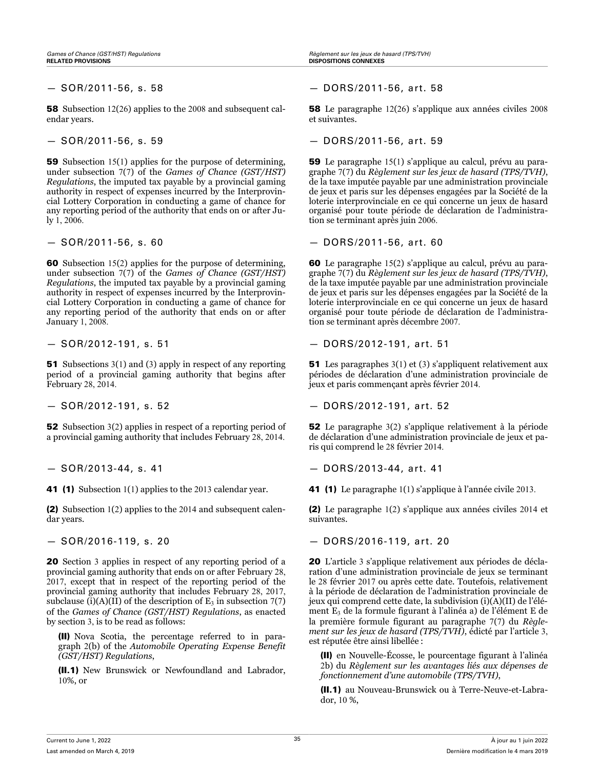*Games of Chance (GST/HST) Regulations Règlement sur les jeux de hasard (TPS/TVH)* **RELATED PROVISIONS DISPOSITIONS CONNEXES**

58 Subsection 12(26) applies to the 2008 and subsequent calendar years.

59 Subsection 15(1) applies for the purpose of determining, under subsection 7(7) of the *Games of Chance (GST/HST) Regulations*, the imputed tax payable by a provincial gaming authority in respect of expenses incurred by the Interprovincial Lottery Corporation in conducting a game of chance for any reporting period of the authority that ends on or after July 1, 2006.

60 Subsection 15(2) applies for the purpose of determining, under subsection 7(7) of the *Games of Chance (GST/HST) Regulations*, the imputed tax payable by a provincial gaming authority in respect of expenses incurred by the Interprovincial Lottery Corporation in conducting a game of chance for any reporting period of the authority that ends on or after January 1, 2008.

51 Subsections 3(1) and (3) apply in respect of any reporting period of a provincial gaming authority that begins after February 28, 2014.

52 Subsection 3(2) applies in respect of a reporting period of a provincial gaming authority that includes February 28, 2014.

(2) Subsection 1(2) applies to the 2014 and subsequent calendar years.

20 Section 3 applies in respect of any reporting period of a provincial gaming authority that ends on or after February 28, 2017, except that in respect of the reporting period of the provincial gaming authority that includes February 28, 2017, subclause (i)(A)(II) of the description of  $E_3$  in subsection 7(7) of the *Games of Chance (GST/HST) Regulations*, as enacted by section 3, is to be read as follows:

(II) Nova Scotia, the percentage referred to in paragraph 2(b) of the *Automobile Operating Expense Benefit (GST/HST) Regulations*,

(II.1) New Brunswick or Newfoundland and Labrador, 10%, or

— SOR/2011-56, s. 58 — DORS/2011-56, art. 58

58 Le paragraphe 12(26) s'applique aux années civiles 2008 et suivantes.

— SOR/2011-56, s. 59 — DORS/2011-56, art. 59

59 Le paragraphe 15(1) s'applique au calcul, prévu au paragraphe 7(7) du *Règlement sur les jeux de hasard (TPS/TVH)*, de la taxe imputée payable par une administration provinciale de jeux et paris sur les dépenses engagées par la Société de la loterie interprovinciale en ce qui concerne un jeux de hasard organisé pour toute période de déclaration de l'administration se terminant après juin 2006.

— SOR/2011-56, s. 60 — DORS/2011-56, art. 60

60 Le paragraphe 15(2) s'applique au calcul, prévu au paragraphe 7(7) du *Règlement sur les jeux de hasard (TPS/TVH)*, de la taxe imputée payable par une administration provinciale de jeux et paris sur les dépenses engagées par la Société de la loterie interprovinciale en ce qui concerne un jeux de hasard organisé pour toute période de déclaration de l'administration se terminant après décembre 2007.

— SOR/2012-191, s. 51 — DORS/2012-191, art. 51

51 Les paragraphes 3(1) et (3) s'appliquent relativement aux périodes de déclaration d'une administration provinciale de jeux et paris commençant après février 2014.

— SOR/2012-191, s. 52 — DORS/2012-191, art. 52

52 Le paragraphe 3(2) s'applique relativement à la période de déclaration d'une administration provinciale de jeux et paris qui comprend le 28 février 2014.

— SOR/2013-44, s. 41 — DORS/2013-44, art. 41

41 (1) Subsection 1(1) applies to the 2013 calendar year. 41 (1) Le paragraphe 1(1) s'applique à l'année civile 2013.

(2) Le paragraphe 1(2) s'applique aux années civiles 2014 et suivantes.

— SOR/2016-119, s. 20 — DORS/2016-119, art. 20

20 L'article 3 s'applique relativement aux périodes de déclaration d'une administration provinciale de jeux se terminant le 28 février 2017 ou après cette date. Toutefois, relativement à la période de déclaration de l'administration provinciale de jeux qui comprend cette date, la subdivision (i)(A)(II) de l'élément E<sup>3</sup> de la formule figurant à l'alinéa a) de l'élément E de la première formule figurant au paragraphe 7(7) du *Règlement sur les jeux de hasard (TPS/TVH)*, édicté par l'article 3, est réputée être ainsi libellée :

(II) en Nouvelle-Écosse, le pourcentage figurant à l'alinéa 2b) du *Règlement sur les avantages liés aux dépenses de fonctionnement d'une automobile (TPS/TVH)*,

(II.1) au Nouveau-Brunswick ou à Terre-Neuve-et-Labrador, 10 %,